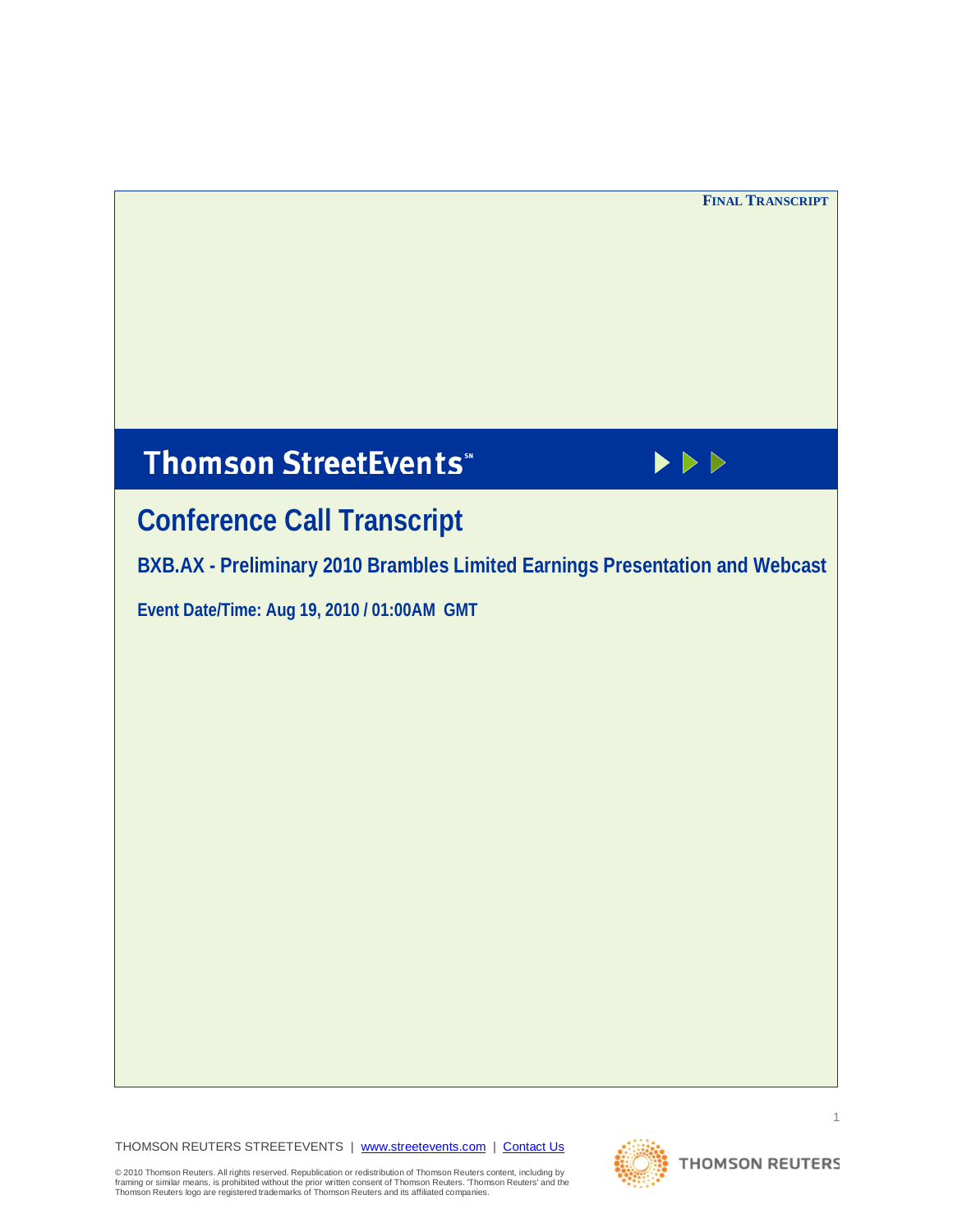# **Thomson StreetEvents**\*



# **Conference Call Transcript**

**BXB.AX - Preliminary 2010 Brambles Limited Earnings Presentation and Webcast**

**Event Date/Time: Aug 19, 2010 / 01:00AM GMT** 

THOMSON REUTERS STREETEVENTS | [www.streetevents.com](http://www.streetevents.com/) | [Contact Us](http://www010.streetevents.com/contact.asp)



© 2010 Thomson Reuters. All rights reserved. Republication or redistribution of Thomson Reuters content, including by<br>framing or similar means, is prohibited without the prior written consent of Thomson Reuters' Thomson Re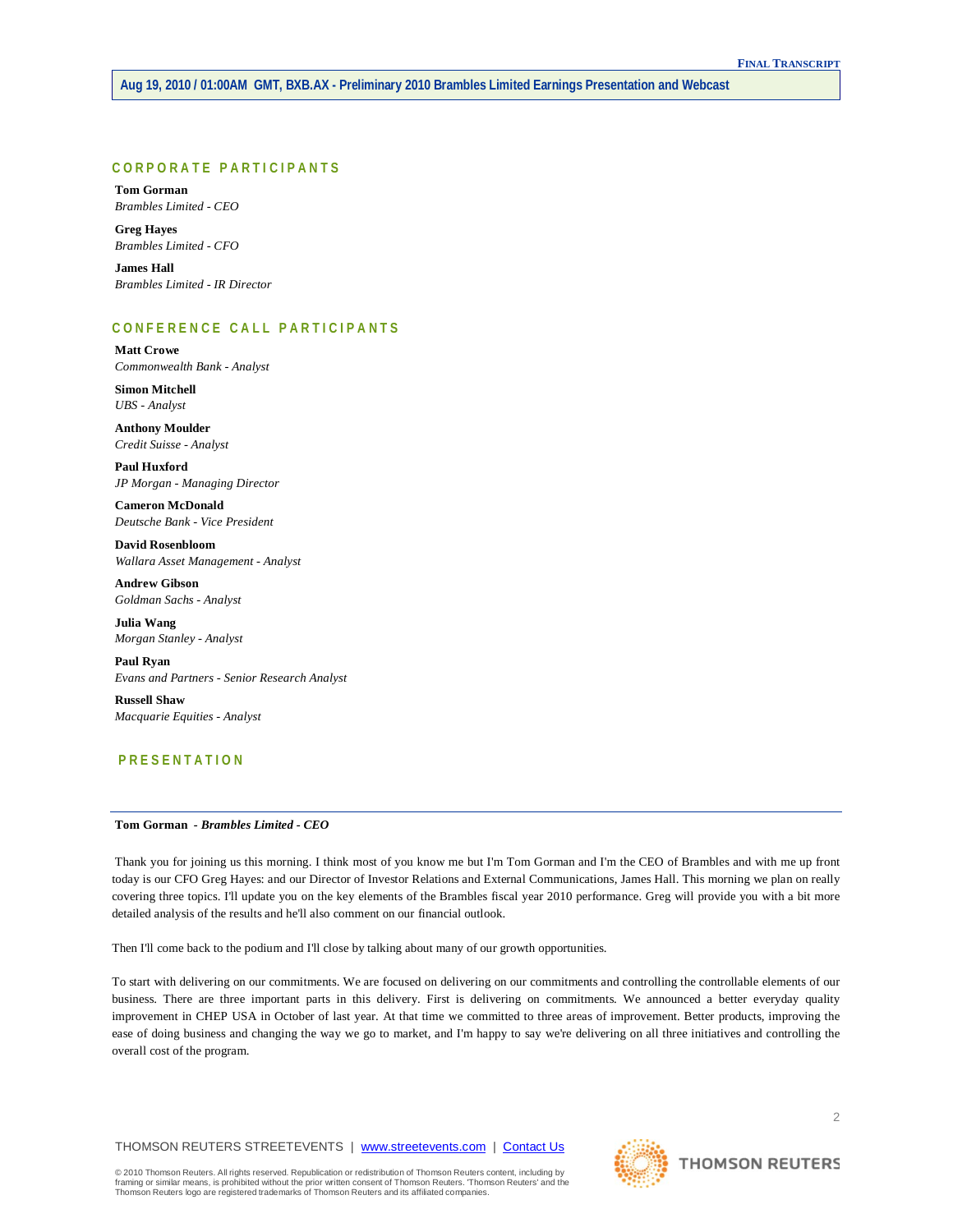# **CORPORATE PARTICIPANTS**

**Tom Gorman** *Brambles Limited - CEO*

**Greg Hayes** *Brambles Limited - CFO*

**James Hall** *Brambles Limited - IR Director*

# **CONFERENCE CALL PART ICIPANTS**

**Matt Crowe** *Commonwealth Bank - Analyst*

**Simon Mitchell** *UBS - Analyst*

**Anthony Moulder** *Credit Suisse - Analyst*

**Paul Huxford** *JP Morgan - Managing Director*

**Cameron McDonald** *Deutsche Bank - Vice President*

**David Rosenbloom** *Wallara Asset Management - Analyst*

**Andrew Gibson** *Goldman Sachs - Analyst*

**Julia Wang** *Morgan Stanley - Analyst*

**Paul Ryan** *Evans and Partners - Senior Research Analyst*

**Russell Shaw** *Macquarie Equities - Analyst*

# **PRESENTATION**

## **Tom Gorman** *- Brambles Limited - CEO*

Thank you for joining us this morning. I think most of you know me but I'm Tom Gorman and I'm the CEO of Brambles and with me up front today is our CFO Greg Hayes: and our Director of Investor Relations and External Communications, James Hall. This morning we plan on really covering three topics. I'll update you on the key elements of the Brambles fiscal year 2010 performance. Greg will provide you with a bit more detailed analysis of the results and he'll also comment on our financial outlook.

Then I'll come back to the podium and I'll close by talking about many of our growth opportunities.

To start with delivering on our commitments. We are focused on delivering on our commitments and controlling the controllable elements of our business. There are three important parts in this delivery. First is delivering on commitments. We announced a better everyday quality improvement in CHEP USA in October of last year. At that time we committed to three areas of improvement. Better products, improving the ease of doing business and changing the way we go to market, and I'm happy to say we're delivering on all three initiatives and controlling the overall cost of the program.

THOMSON REUTERS STREETEVENTS | [www.streetevents.com](http://www.streetevents.com/) | [Contact Us](http://www010.streetevents.com/contact.asp)

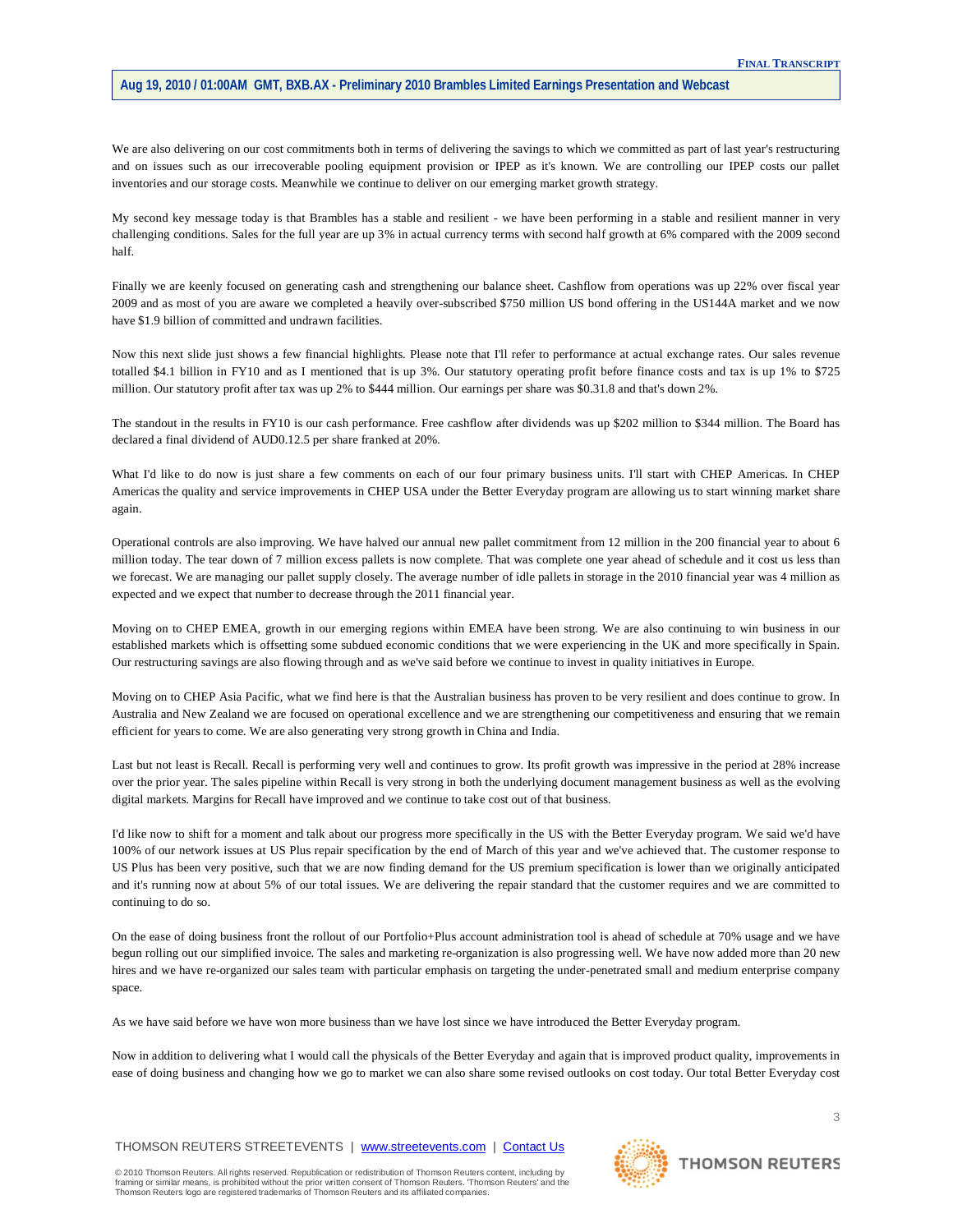We are also delivering on our cost commitments both in terms of delivering the savings to which we committed as part of last year's restructuring and on issues such as our irrecoverable pooling equipment provision or IPEP as it's known. We are controlling our IPEP costs our pallet inventories and our storage costs. Meanwhile we continue to deliver on our emerging market growth strategy.

My second key message today is that Brambles has a stable and resilient - we have been performing in a stable and resilient manner in very challenging conditions. Sales for the full year are up 3% in actual currency terms with second half growth at 6% compared with the 2009 second half.

Finally we are keenly focused on generating cash and strengthening our balance sheet. Cashflow from operations was up 22% over fiscal year 2009 and as most of you are aware we completed a heavily over-subscribed \$750 million US bond offering in the US144A market and we now have \$1.9 billion of committed and undrawn facilities.

Now this next slide just shows a few financial highlights. Please note that I'll refer to performance at actual exchange rates. Our sales revenue totalled \$4.1 billion in FY10 and as I mentioned that is up 3%. Our statutory operating profit before finance costs and tax is up 1% to \$725 million. Our statutory profit after tax was up 2% to \$444 million. Our earnings per share was \$0.31.8 and that's down 2%.

The standout in the results in FY10 is our cash performance. Free cashflow after dividends was up \$202 million to \$344 million. The Board has declared a final dividend of AUD0.12.5 per share franked at 20%.

What I'd like to do now is just share a few comments on each of our four primary business units. I'll start with CHEP Americas. In CHEP Americas the quality and service improvements in CHEP USA under the Better Everyday program are allowing us to start winning market share again.

Operational controls are also improving. We have halved our annual new pallet commitment from 12 million in the 200 financial year to about 6 million today. The tear down of 7 million excess pallets is now complete. That was complete one year ahead of schedule and it cost us less than we forecast. We are managing our pallet supply closely. The average number of idle pallets in storage in the 2010 financial year was 4 million as expected and we expect that number to decrease through the 2011 financial year.

Moving on to CHEP EMEA, growth in our emerging regions within EMEA have been strong. We are also continuing to win business in our established markets which is offsetting some subdued economic conditions that we were experiencing in the UK and more specifically in Spain. Our restructuring savings are also flowing through and as we've said before we continue to invest in quality initiatives in Europe.

Moving on to CHEP Asia Pacific, what we find here is that the Australian business has proven to be very resilient and does continue to grow. In Australia and New Zealand we are focused on operational excellence and we are strengthening our competitiveness and ensuring that we remain efficient for years to come. We are also generating very strong growth in China and India.

Last but not least is Recall. Recall is performing very well and continues to grow. Its profit growth was impressive in the period at 28% increase over the prior year. The sales pipeline within Recall is very strong in both the underlying document management business as well as the evolving digital markets. Margins for Recall have improved and we continue to take cost out of that business.

I'd like now to shift for a moment and talk about our progress more specifically in the US with the Better Everyday program. We said we'd have 100% of our network issues at US Plus repair specification by the end of March of this year and we've achieved that. The customer response to US Plus has been very positive, such that we are now finding demand for the US premium specification is lower than we originally anticipated and it's running now at about 5% of our total issues. We are delivering the repair standard that the customer requires and we are committed to continuing to do so.

On the ease of doing business front the rollout of our Portfolio+Plus account administration tool is ahead of schedule at 70% usage and we have begun rolling out our simplified invoice. The sales and marketing re-organization is also progressing well. We have now added more than 20 new hires and we have re-organized our sales team with particular emphasis on targeting the under-penetrated small and medium enterprise company space.

As we have said before we have won more business than we have lost since we have introduced the Better Everyday program.

Now in addition to delivering what I would call the physicals of the Better Everyday and again that is improved product quality, improvements in ease of doing business and changing how we go to market we can also share some revised outlooks on cost today. Our total Better Everyday cost

THOMSON REUTERS STREETEVENTS | [www.streetevents.com](http://www.streetevents.com/) | [Contact Us](http://www010.streetevents.com/contact.asp)

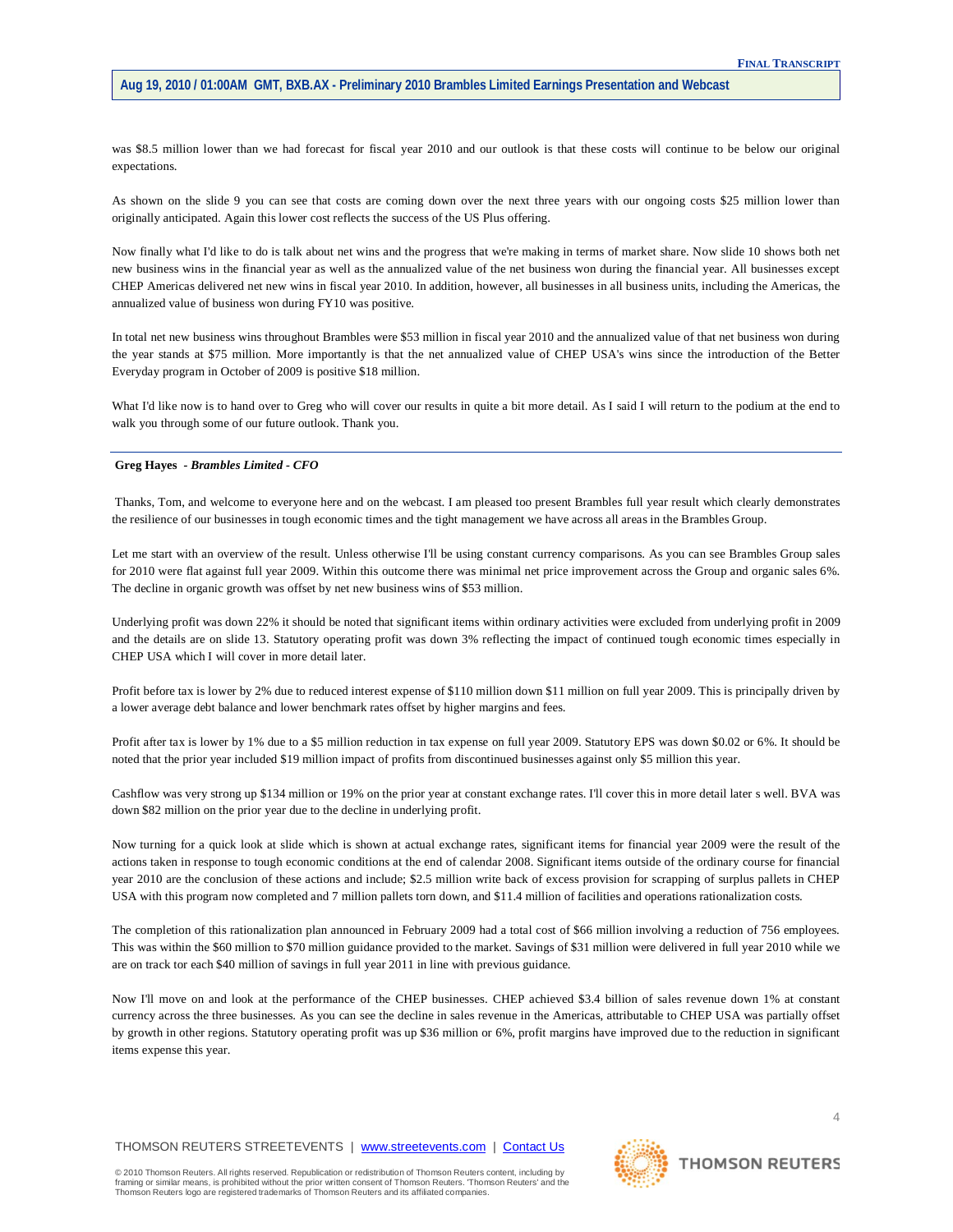was \$8.5 million lower than we had forecast for fiscal year 2010 and our outlook is that these costs will continue to be below our original expectations.

As shown on the slide 9 you can see that costs are coming down over the next three years with our ongoing costs \$25 million lower than originally anticipated. Again this lower cost reflects the success of the US Plus offering.

Now finally what I'd like to do is talk about net wins and the progress that we're making in terms of market share. Now slide 10 shows both net new business wins in the financial year as well as the annualized value of the net business won during the financial year. All businesses except CHEP Americas delivered net new wins in fiscal year 2010. In addition, however, all businesses in all business units, including the Americas, the annualized value of business won during FY10 was positive.

In total net new business wins throughout Brambles were \$53 million in fiscal year 2010 and the annualized value of that net business won during the year stands at \$75 million. More importantly is that the net annualized value of CHEP USA's wins since the introduction of the Better Everyday program in October of 2009 is positive \$18 million.

What I'd like now is to hand over to Greg who will cover our results in quite a bit more detail. As I said I will return to the podium at the end to walk you through some of our future outlook. Thank you.

## **Greg Hayes** *- Brambles Limited - CFO*

Thanks, Tom, and welcome to everyone here and on the webcast. I am pleased too present Brambles full year result which clearly demonstrates the resilience of our businesses in tough economic times and the tight management we have across all areas in the Brambles Group.

Let me start with an overview of the result. Unless otherwise I'll be using constant currency comparisons. As you can see Brambles Group sales for 2010 were flat against full year 2009. Within this outcome there was minimal net price improvement across the Group and organic sales 6%. The decline in organic growth was offset by net new business wins of \$53 million.

Underlying profit was down 22% it should be noted that significant items within ordinary activities were excluded from underlying profit in 2009 and the details are on slide 13. Statutory operating profit was down 3% reflecting the impact of continued tough economic times especially in CHEP USA which I will cover in more detail later.

Profit before tax is lower by 2% due to reduced interest expense of \$110 million down \$11 million on full year 2009. This is principally driven by a lower average debt balance and lower benchmark rates offset by higher margins and fees.

Profit after tax is lower by 1% due to a \$5 million reduction in tax expense on full year 2009. Statutory EPS was down \$0.02 or 6%. It should be noted that the prior year included \$19 million impact of profits from discontinued businesses against only \$5 million this year.

Cashflow was very strong up \$134 million or 19% on the prior year at constant exchange rates. I'll cover this in more detail later s well. BVA was down \$82 million on the prior year due to the decline in underlying profit.

Now turning for a quick look at slide which is shown at actual exchange rates, significant items for financial year 2009 were the result of the actions taken in response to tough economic conditions at the end of calendar 2008. Significant items outside of the ordinary course for financial year 2010 are the conclusion of these actions and include; \$2.5 million write back of excess provision for scrapping of surplus pallets in CHEP USA with this program now completed and 7 million pallets torn down, and \$11.4 million of facilities and operations rationalization costs.

The completion of this rationalization plan announced in February 2009 had a total cost of \$66 million involving a reduction of 756 employees. This was within the \$60 million to \$70 million guidance provided to the market. Savings of \$31 million were delivered in full year 2010 while we are on track tor each \$40 million of savings in full year 2011 in line with previous guidance.

Now I'll move on and look at the performance of the CHEP businesses. CHEP achieved \$3.4 billion of sales revenue down 1% at constant currency across the three businesses. As you can see the decline in sales revenue in the Americas, attributable to CHEP USA was partially offset by growth in other regions. Statutory operating profit was up \$36 million or 6%, profit margins have improved due to the reduction in significant items expense this year.

THOMSON REUTERS STREETEVENTS | [www.streetevents.com](http://www.streetevents.com/) | [Contact Us](http://www010.streetevents.com/contact.asp)

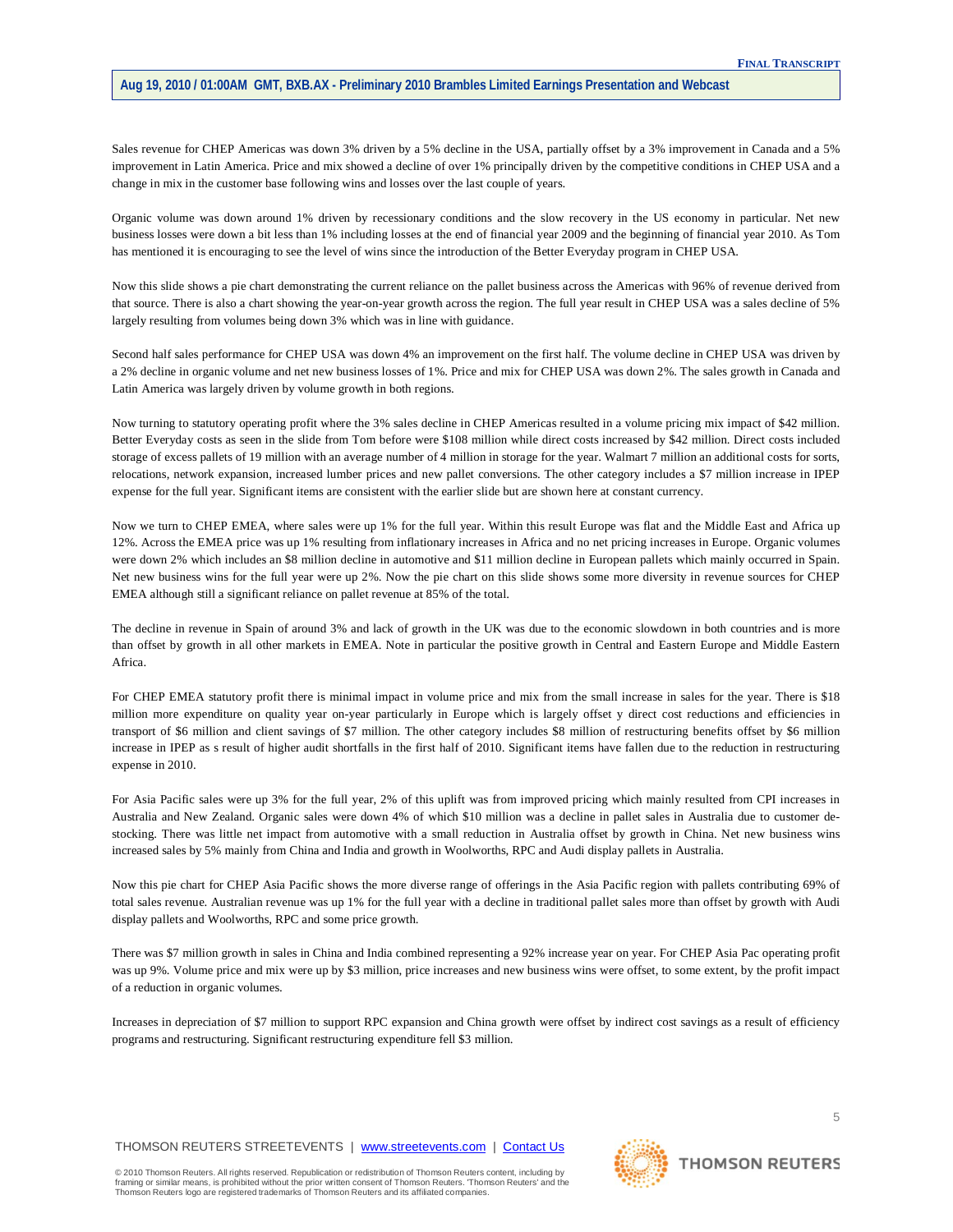Sales revenue for CHEP Americas was down 3% driven by a 5% decline in the USA, partially offset by a 3% improvement in Canada and a 5% improvement in Latin America. Price and mix showed a decline of over 1% principally driven by the competitive conditions in CHEP USA and a change in mix in the customer base following wins and losses over the last couple of years.

Organic volume was down around 1% driven by recessionary conditions and the slow recovery in the US economy in particular. Net new business losses were down a bit less than 1% including losses at the end of financial year 2009 and the beginning of financial year 2010. As Tom has mentioned it is encouraging to see the level of wins since the introduction of the Better Everyday program in CHEP USA.

Now this slide shows a pie chart demonstrating the current reliance on the pallet business across the Americas with 96% of revenue derived from that source. There is also a chart showing the year-on-year growth across the region. The full year result in CHEP USA was a sales decline of 5% largely resulting from volumes being down 3% which was in line with guidance.

Second half sales performance for CHEP USA was down 4% an improvement on the first half. The volume decline in CHEP USA was driven by a 2% decline in organic volume and net new business losses of 1%. Price and mix for CHEP USA was down 2%. The sales growth in Canada and Latin America was largely driven by volume growth in both regions.

Now turning to statutory operating profit where the 3% sales decline in CHEP Americas resulted in a volume pricing mix impact of \$42 million. Better Everyday costs as seen in the slide from Tom before were \$108 million while direct costs increased by \$42 million. Direct costs included storage of excess pallets of 19 million with an average number of 4 million in storage for the year. Walmart 7 million an additional costs for sorts, relocations, network expansion, increased lumber prices and new pallet conversions. The other category includes a \$7 million increase in IPEP expense for the full year. Significant items are consistent with the earlier slide but are shown here at constant currency.

Now we turn to CHEP EMEA, where sales were up 1% for the full year. Within this result Europe was flat and the Middle East and Africa up 12%. Across the EMEA price was up 1% resulting from inflationary increases in Africa and no net pricing increases in Europe. Organic volumes were down 2% which includes an \$8 million decline in automotive and \$11 million decline in European pallets which mainly occurred in Spain. Net new business wins for the full year were up 2%. Now the pie chart on this slide shows some more diversity in revenue sources for CHEP EMEA although still a significant reliance on pallet revenue at 85% of the total.

The decline in revenue in Spain of around 3% and lack of growth in the UK was due to the economic slowdown in both countries and is more than offset by growth in all other markets in EMEA. Note in particular the positive growth in Central and Eastern Europe and Middle Eastern Africa.

For CHEP EMEA statutory profit there is minimal impact in volume price and mix from the small increase in sales for the year. There is \$18 million more expenditure on quality year on-year particularly in Europe which is largely offset y direct cost reductions and efficiencies in transport of \$6 million and client savings of \$7 million. The other category includes \$8 million of restructuring benefits offset by \$6 million increase in IPEP as s result of higher audit shortfalls in the first half of 2010. Significant items have fallen due to the reduction in restructuring expense in 2010.

For Asia Pacific sales were up 3% for the full year, 2% of this uplift was from improved pricing which mainly resulted from CPI increases in Australia and New Zealand. Organic sales were down 4% of which \$10 million was a decline in pallet sales in Australia due to customer destocking. There was little net impact from automotive with a small reduction in Australia offset by growth in China. Net new business wins increased sales by 5% mainly from China and India and growth in Woolworths, RPC and Audi display pallets in Australia.

Now this pie chart for CHEP Asia Pacific shows the more diverse range of offerings in the Asia Pacific region with pallets contributing 69% of total sales revenue. Australian revenue was up 1% for the full year with a decline in traditional pallet sales more than offset by growth with Audi display pallets and Woolworths, RPC and some price growth.

There was \$7 million growth in sales in China and India combined representing a 92% increase year on year. For CHEP Asia Pac operating profit was up 9%. Volume price and mix were up by \$3 million, price increases and new business wins were offset, to some extent, by the profit impact of a reduction in organic volumes.

Increases in depreciation of \$7 million to support RPC expansion and China growth were offset by indirect cost savings as a result of efficiency programs and restructuring. Significant restructuring expenditure fell \$3 million.

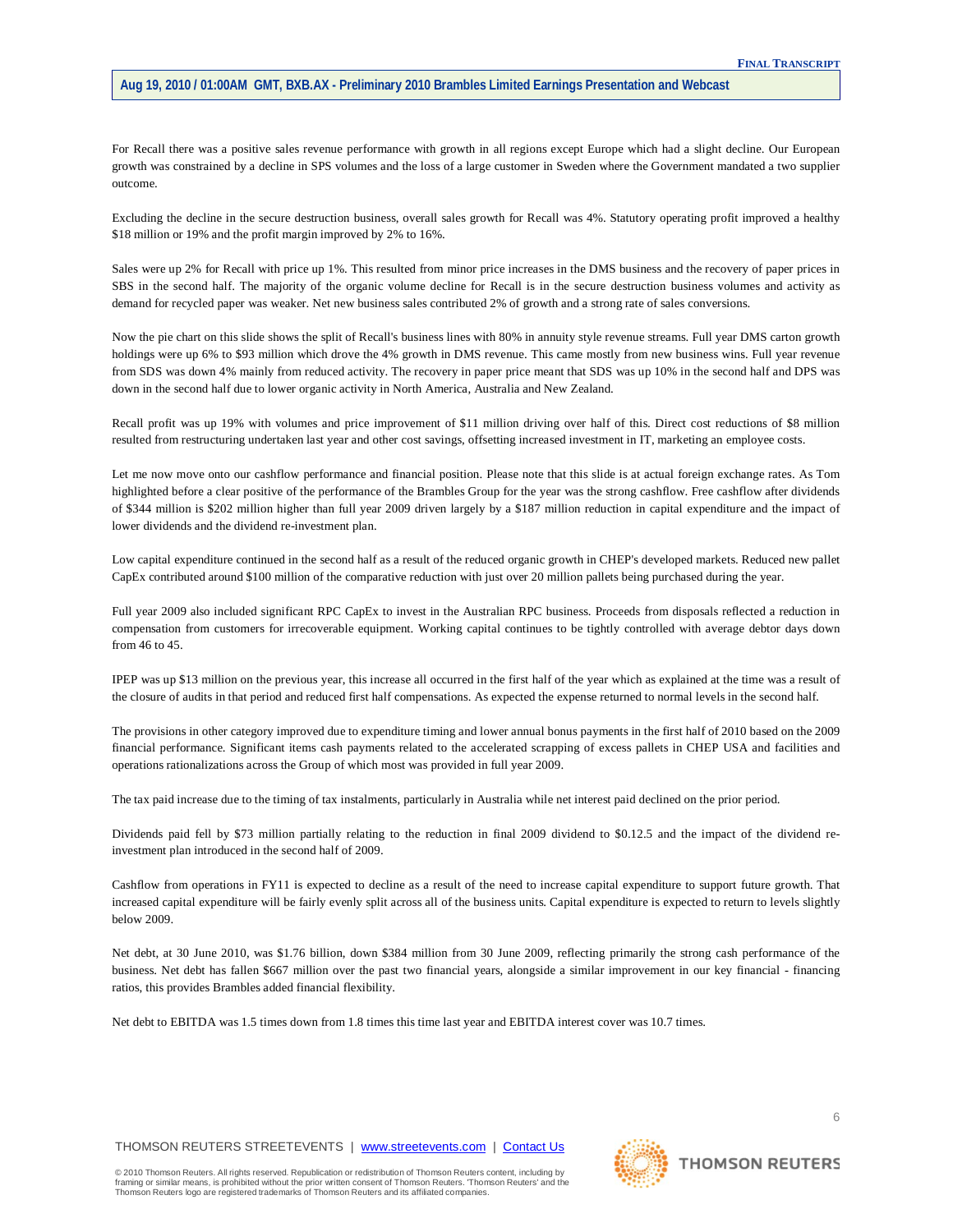For Recall there was a positive sales revenue performance with growth in all regions except Europe which had a slight decline. Our European growth was constrained by a decline in SPS volumes and the loss of a large customer in Sweden where the Government mandated a two supplier outcome.

Excluding the decline in the secure destruction business, overall sales growth for Recall was 4%. Statutory operating profit improved a healthy \$18 million or 19% and the profit margin improved by 2% to 16%.

Sales were up 2% for Recall with price up 1%. This resulted from minor price increases in the DMS business and the recovery of paper prices in SBS in the second half. The majority of the organic volume decline for Recall is in the secure destruction business volumes and activity as demand for recycled paper was weaker. Net new business sales contributed 2% of growth and a strong rate of sales conversions.

Now the pie chart on this slide shows the split of Recall's business lines with 80% in annuity style revenue streams. Full year DMS carton growth holdings were up 6% to \$93 million which drove the 4% growth in DMS revenue. This came mostly from new business wins. Full year revenue from SDS was down 4% mainly from reduced activity. The recovery in paper price meant that SDS was up 10% in the second half and DPS was down in the second half due to lower organic activity in North America, Australia and New Zealand.

Recall profit was up 19% with volumes and price improvement of \$11 million driving over half of this. Direct cost reductions of \$8 million resulted from restructuring undertaken last year and other cost savings, offsetting increased investment in IT, marketing an employee costs.

Let me now move onto our cashflow performance and financial position. Please note that this slide is at actual foreign exchange rates. As Tom highlighted before a clear positive of the performance of the Brambles Group for the year was the strong cashflow. Free cashflow after dividends of \$344 million is \$202 million higher than full year 2009 driven largely by a \$187 million reduction in capital expenditure and the impact of lower dividends and the dividend re-investment plan.

Low capital expenditure continued in the second half as a result of the reduced organic growth in CHEP's developed markets. Reduced new pallet CapEx contributed around \$100 million of the comparative reduction with just over 20 million pallets being purchased during the year.

Full year 2009 also included significant RPC CapEx to invest in the Australian RPC business. Proceeds from disposals reflected a reduction in compensation from customers for irrecoverable equipment. Working capital continues to be tightly controlled with average debtor days down from 46 to 45.

IPEP was up \$13 million on the previous year, this increase all occurred in the first half of the year which as explained at the time was a result of the closure of audits in that period and reduced first half compensations. As expected the expense returned to normal levels in the second half.

The provisions in other category improved due to expenditure timing and lower annual bonus payments in the first half of 2010 based on the 2009 financial performance. Significant items cash payments related to the accelerated scrapping of excess pallets in CHEP USA and facilities and operations rationalizations across the Group of which most was provided in full year 2009.

The tax paid increase due to the timing of tax instalments, particularly in Australia while net interest paid declined on the prior period.

Dividends paid fell by \$73 million partially relating to the reduction in final 2009 dividend to \$0.12.5 and the impact of the dividend reinvestment plan introduced in the second half of 2009.

Cashflow from operations in FY11 is expected to decline as a result of the need to increase capital expenditure to support future growth. That increased capital expenditure will be fairly evenly split across all of the business units. Capital expenditure is expected to return to levels slightly below 2009.

Net debt, at 30 June 2010, was \$1.76 billion, down \$384 million from 30 June 2009, reflecting primarily the strong cash performance of the business. Net debt has fallen \$667 million over the past two financial years, alongside a similar improvement in our key financial - financing ratios, this provides Brambles added financial flexibility.

Net debt to EBITDA was 1.5 times down from 1.8 times this time last year and EBITDA interest cover was 10.7 times.

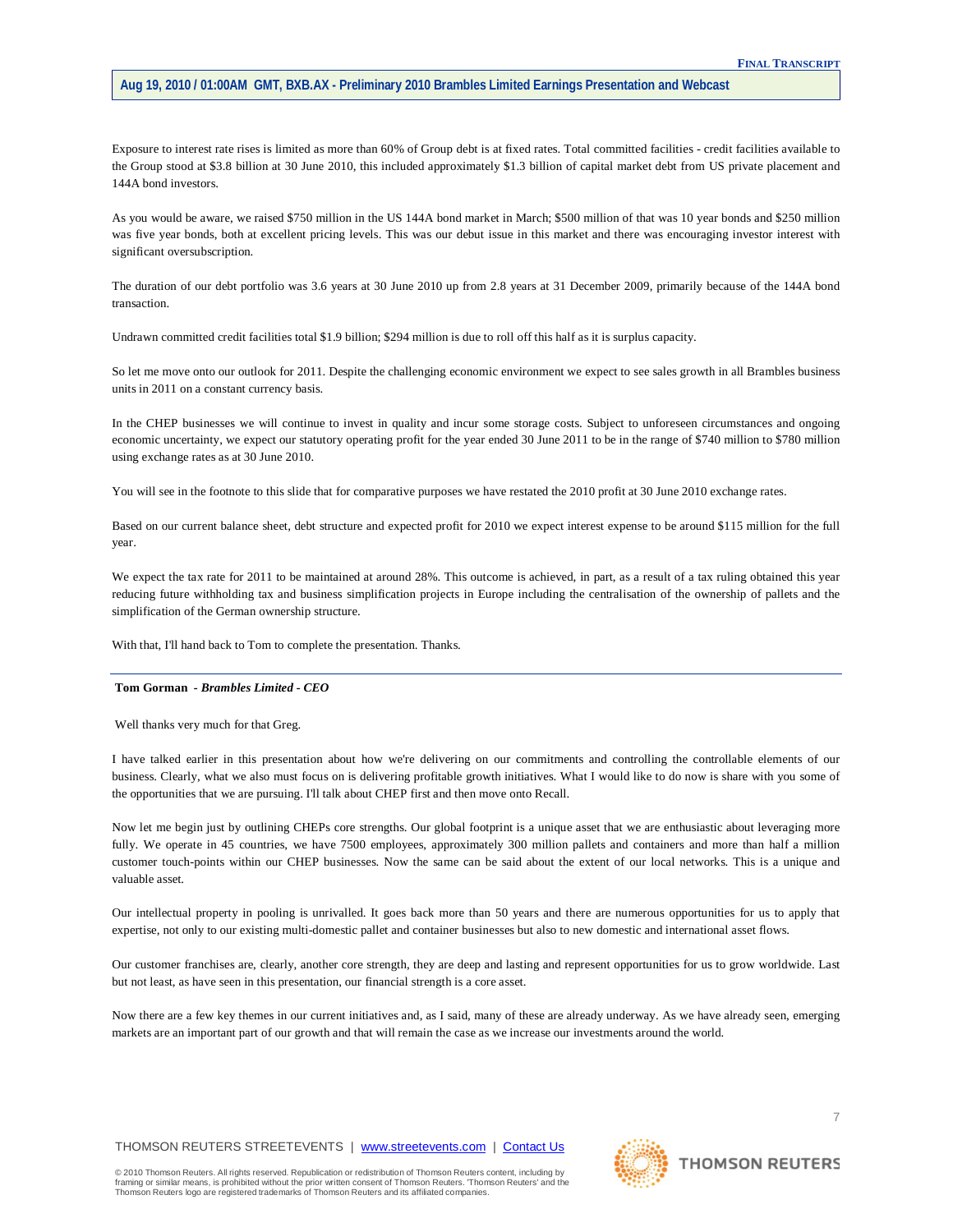Exposure to interest rate rises is limited as more than 60% of Group debt is at fixed rates. Total committed facilities - credit facilities available to the Group stood at \$3.8 billion at 30 June 2010, this included approximately \$1.3 billion of capital market debt from US private placement and 144A bond investors.

As you would be aware, we raised \$750 million in the US 144A bond market in March; \$500 million of that was 10 year bonds and \$250 million was five year bonds, both at excellent pricing levels. This was our debut issue in this market and there was encouraging investor interest with significant oversubscription.

The duration of our debt portfolio was 3.6 years at 30 June 2010 up from 2.8 years at 31 December 2009, primarily because of the 144A bond transaction.

Undrawn committed credit facilities total \$1.9 billion; \$294 million is due to roll off this half as it is surplus capacity.

So let me move onto our outlook for 2011. Despite the challenging economic environment we expect to see sales growth in all Brambles business units in 2011 on a constant currency basis.

In the CHEP businesses we will continue to invest in quality and incur some storage costs. Subject to unforeseen circumstances and ongoing economic uncertainty, we expect our statutory operating profit for the year ended 30 June 2011 to be in the range of \$740 million to \$780 million using exchange rates as at 30 June 2010.

You will see in the footnote to this slide that for comparative purposes we have restated the 2010 profit at 30 June 2010 exchange rates.

Based on our current balance sheet, debt structure and expected profit for 2010 we expect interest expense to be around \$115 million for the full year.

We expect the tax rate for 2011 to be maintained at around 28%. This outcome is achieved, in part, as a result of a tax ruling obtained this year reducing future withholding tax and business simplification projects in Europe including the centralisation of the ownership of pallets and the simplification of the German ownership structure.

With that, I'll hand back to Tom to complete the presentation. Thanks.

#### **Tom Gorman** *- Brambles Limited - CEO*

Well thanks very much for that Greg.

I have talked earlier in this presentation about how we're delivering on our commitments and controlling the controllable elements of our business. Clearly, what we also must focus on is delivering profitable growth initiatives. What I would like to do now is share with you some of the opportunities that we are pursuing. I'll talk about CHEP first and then move onto Recall.

Now let me begin just by outlining CHEPs core strengths. Our global footprint is a unique asset that we are enthusiastic about leveraging more fully. We operate in 45 countries, we have 7500 employees, approximately 300 million pallets and containers and more than half a million customer touch-points within our CHEP businesses. Now the same can be said about the extent of our local networks. This is a unique and valuable asset.

Our intellectual property in pooling is unrivalled. It goes back more than 50 years and there are numerous opportunities for us to apply that expertise, not only to our existing multi-domestic pallet and container businesses but also to new domestic and international asset flows.

Our customer franchises are, clearly, another core strength, they are deep and lasting and represent opportunities for us to grow worldwide. Last but not least, as have seen in this presentation, our financial strength is a core asset.

Now there are a few key themes in our current initiatives and, as I said, many of these are already underway. As we have already seen, emerging markets are an important part of our growth and that will remain the case as we increase our investments around the world.

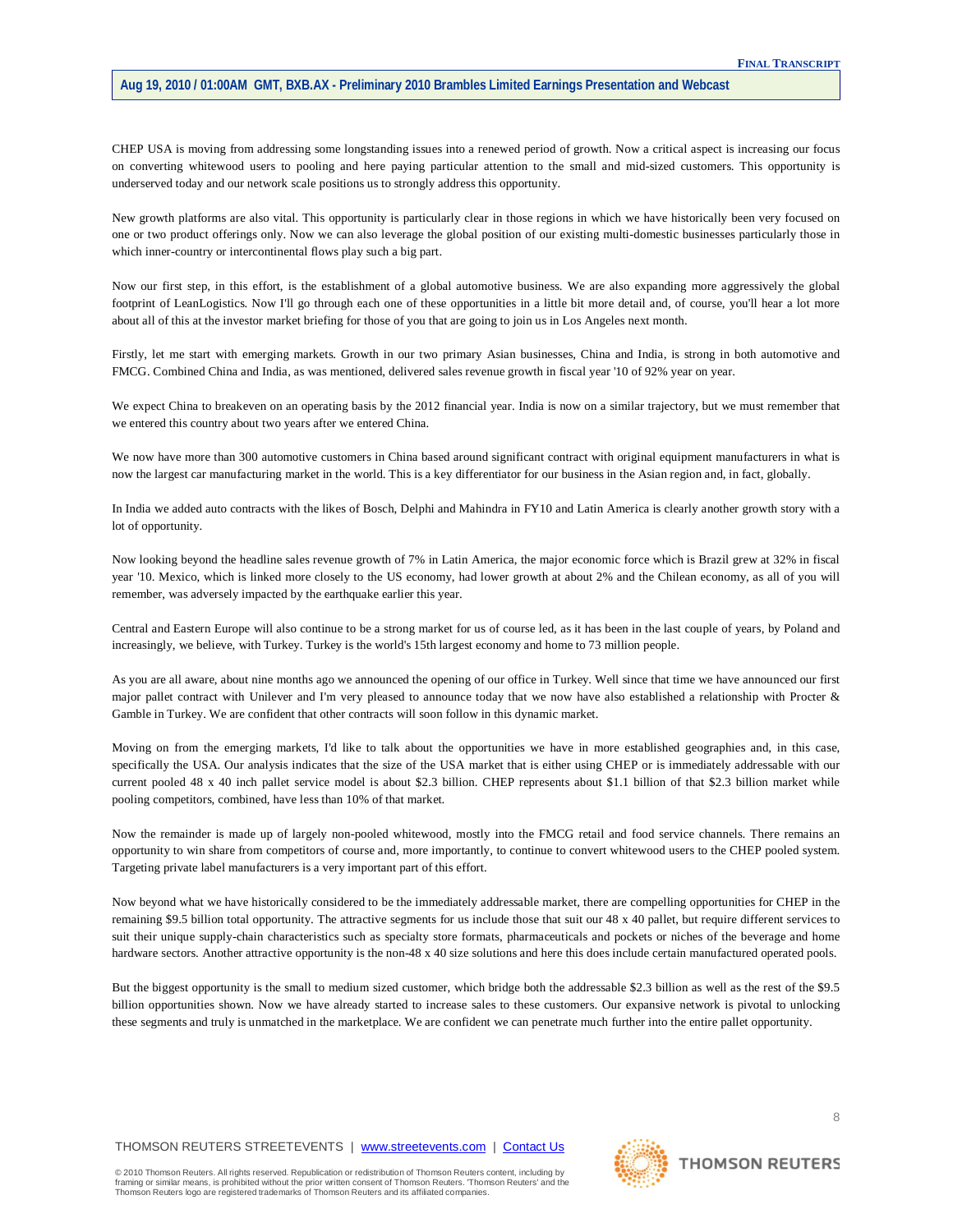CHEP USA is moving from addressing some longstanding issues into a renewed period of growth. Now a critical aspect is increasing our focus on converting whitewood users to pooling and here paying particular attention to the small and mid-sized customers. This opportunity is underserved today and our network scale positions us to strongly address this opportunity.

New growth platforms are also vital. This opportunity is particularly clear in those regions in which we have historically been very focused on one or two product offerings only. Now we can also leverage the global position of our existing multi-domestic businesses particularly those in which inner-country or intercontinental flows play such a big part.

Now our first step, in this effort, is the establishment of a global automotive business. We are also expanding more aggressively the global footprint of LeanLogistics. Now I'll go through each one of these opportunities in a little bit more detail and, of course, you'll hear a lot more about all of this at the investor market briefing for those of you that are going to join us in Los Angeles next month.

Firstly, let me start with emerging markets. Growth in our two primary Asian businesses, China and India, is strong in both automotive and FMCG. Combined China and India, as was mentioned, delivered sales revenue growth in fiscal year '10 of 92% year on year.

We expect China to breakeven on an operating basis by the 2012 financial year. India is now on a similar trajectory, but we must remember that we entered this country about two years after we entered China.

We now have more than 300 automotive customers in China based around significant contract with original equipment manufacturers in what is now the largest car manufacturing market in the world. This is a key differentiator for our business in the Asian region and, in fact, globally.

In India we added auto contracts with the likes of Bosch, Delphi and Mahindra in FY10 and Latin America is clearly another growth story with a lot of opportunity.

Now looking beyond the headline sales revenue growth of 7% in Latin America, the major economic force which is Brazil grew at 32% in fiscal year '10. Mexico, which is linked more closely to the US economy, had lower growth at about 2% and the Chilean economy, as all of you will remember, was adversely impacted by the earthquake earlier this year.

Central and Eastern Europe will also continue to be a strong market for us of course led, as it has been in the last couple of years, by Poland and increasingly, we believe, with Turkey. Turkey is the world's 15th largest economy and home to 73 million people.

As you are all aware, about nine months ago we announced the opening of our office in Turkey. Well since that time we have announced our first major pallet contract with Unilever and I'm very pleased to announce today that we now have also established a relationship with Procter & Gamble in Turkey. We are confident that other contracts will soon follow in this dynamic market.

Moving on from the emerging markets, I'd like to talk about the opportunities we have in more established geographies and, in this case, specifically the USA. Our analysis indicates that the size of the USA market that is either using CHEP or is immediately addressable with our current pooled 48 x 40 inch pallet service model is about \$2.3 billion. CHEP represents about \$1.1 billion of that \$2.3 billion market while pooling competitors, combined, have less than 10% of that market.

Now the remainder is made up of largely non-pooled whitewood, mostly into the FMCG retail and food service channels. There remains an opportunity to win share from competitors of course and, more importantly, to continue to convert whitewood users to the CHEP pooled system. Targeting private label manufacturers is a very important part of this effort.

Now beyond what we have historically considered to be the immediately addressable market, there are compelling opportunities for CHEP in the remaining \$9.5 billion total opportunity. The attractive segments for us include those that suit our 48 x 40 pallet, but require different services to suit their unique supply-chain characteristics such as specialty store formats, pharmaceuticals and pockets or niches of the beverage and home hardware sectors. Another attractive opportunity is the non-48 x 40 size solutions and here this does include certain manufactured operated pools.

But the biggest opportunity is the small to medium sized customer, which bridge both the addressable \$2.3 billion as well as the rest of the \$9.5 billion opportunities shown. Now we have already started to increase sales to these customers. Our expansive network is pivotal to unlocking these segments and truly is unmatched in the marketplace. We are confident we can penetrate much further into the entire pallet opportunity.

THOMSON REUTERS STREETEVENTS | [www.streetevents.com](http://www.streetevents.com/) | [Contact Us](http://www010.streetevents.com/contact.asp)

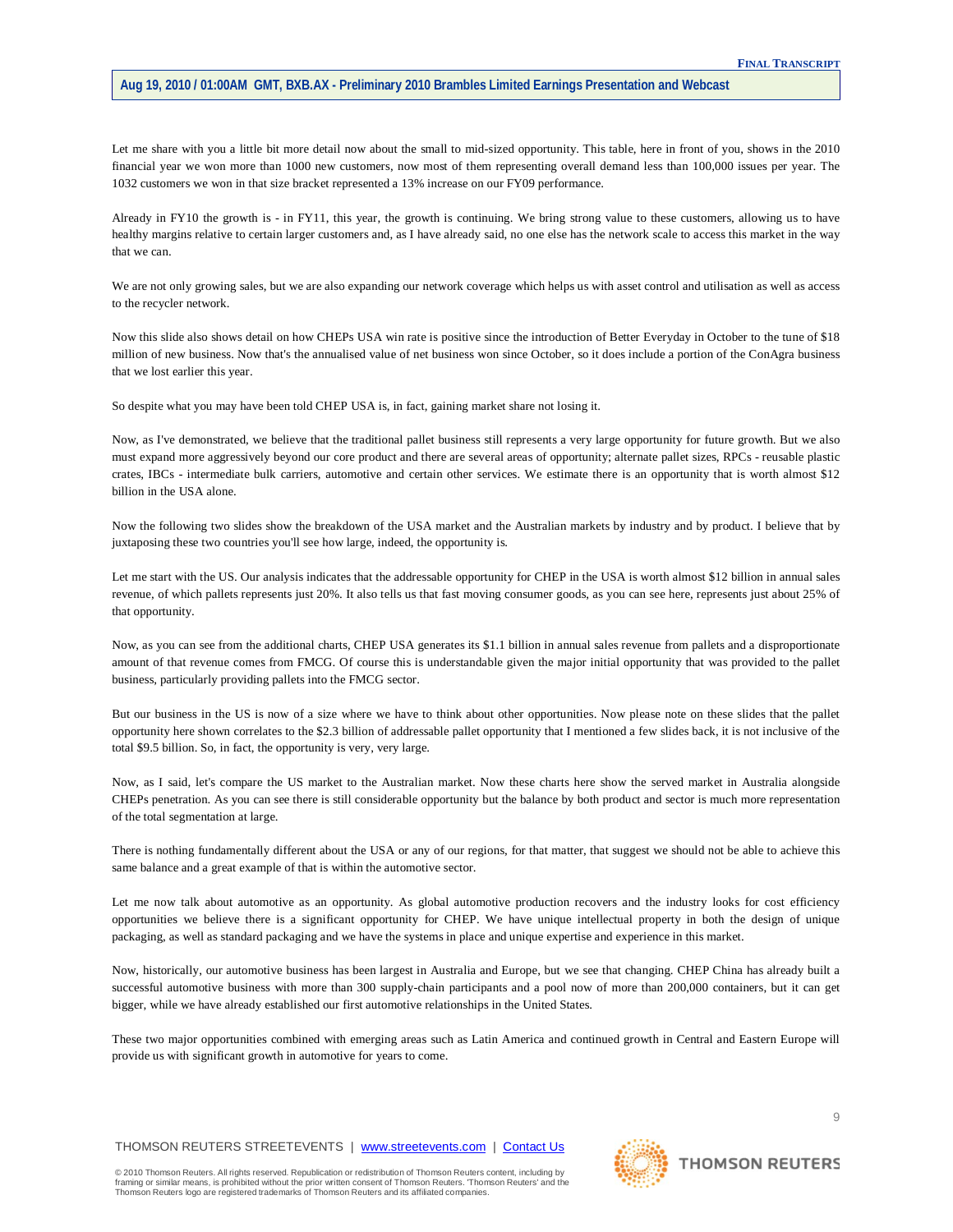Let me share with you a little bit more detail now about the small to mid-sized opportunity. This table, here in front of you, shows in the 2010 financial year we won more than 1000 new customers, now most of them representing overall demand less than 100,000 issues per year. The 1032 customers we won in that size bracket represented a 13% increase on our FY09 performance.

Already in FY10 the growth is - in FY11, this year, the growth is continuing. We bring strong value to these customers, allowing us to have healthy margins relative to certain larger customers and, as I have already said, no one else has the network scale to access this market in the way that we can.

We are not only growing sales, but we are also expanding our network coverage which helps us with asset control and utilisation as well as access to the recycler network.

Now this slide also shows detail on how CHEPs USA win rate is positive since the introduction of Better Everyday in October to the tune of \$18 million of new business. Now that's the annualised value of net business won since October, so it does include a portion of the ConAgra business that we lost earlier this year.

So despite what you may have been told CHEP USA is, in fact, gaining market share not losing it.

Now, as I've demonstrated, we believe that the traditional pallet business still represents a very large opportunity for future growth. But we also must expand more aggressively beyond our core product and there are several areas of opportunity; alternate pallet sizes, RPCs - reusable plastic crates, IBCs - intermediate bulk carriers, automotive and certain other services. We estimate there is an opportunity that is worth almost \$12 billion in the USA alone.

Now the following two slides show the breakdown of the USA market and the Australian markets by industry and by product. I believe that by juxtaposing these two countries you'll see how large, indeed, the opportunity is.

Let me start with the US. Our analysis indicates that the addressable opportunity for CHEP in the USA is worth almost \$12 billion in annual sales revenue, of which pallets represents just 20%. It also tells us that fast moving consumer goods, as you can see here, represents just about 25% of that opportunity.

Now, as you can see from the additional charts, CHEP USA generates its \$1.1 billion in annual sales revenue from pallets and a disproportionate amount of that revenue comes from FMCG. Of course this is understandable given the major initial opportunity that was provided to the pallet business, particularly providing pallets into the FMCG sector.

But our business in the US is now of a size where we have to think about other opportunities. Now please note on these slides that the pallet opportunity here shown correlates to the \$2.3 billion of addressable pallet opportunity that I mentioned a few slides back, it is not inclusive of the total \$9.5 billion. So, in fact, the opportunity is very, very large.

Now, as I said, let's compare the US market to the Australian market. Now these charts here show the served market in Australia alongside CHEPs penetration. As you can see there is still considerable opportunity but the balance by both product and sector is much more representation of the total segmentation at large.

There is nothing fundamentally different about the USA or any of our regions, for that matter, that suggest we should not be able to achieve this same balance and a great example of that is within the automotive sector.

Let me now talk about automotive as an opportunity. As global automotive production recovers and the industry looks for cost efficiency opportunities we believe there is a significant opportunity for CHEP. We have unique intellectual property in both the design of unique packaging, as well as standard packaging and we have the systems in place and unique expertise and experience in this market.

Now, historically, our automotive business has been largest in Australia and Europe, but we see that changing. CHEP China has already built a successful automotive business with more than 300 supply-chain participants and a pool now of more than 200,000 containers, but it can get bigger, while we have already established our first automotive relationships in the United States.

These two major opportunities combined with emerging areas such as Latin America and continued growth in Central and Eastern Europe will provide us with significant growth in automotive for years to come.

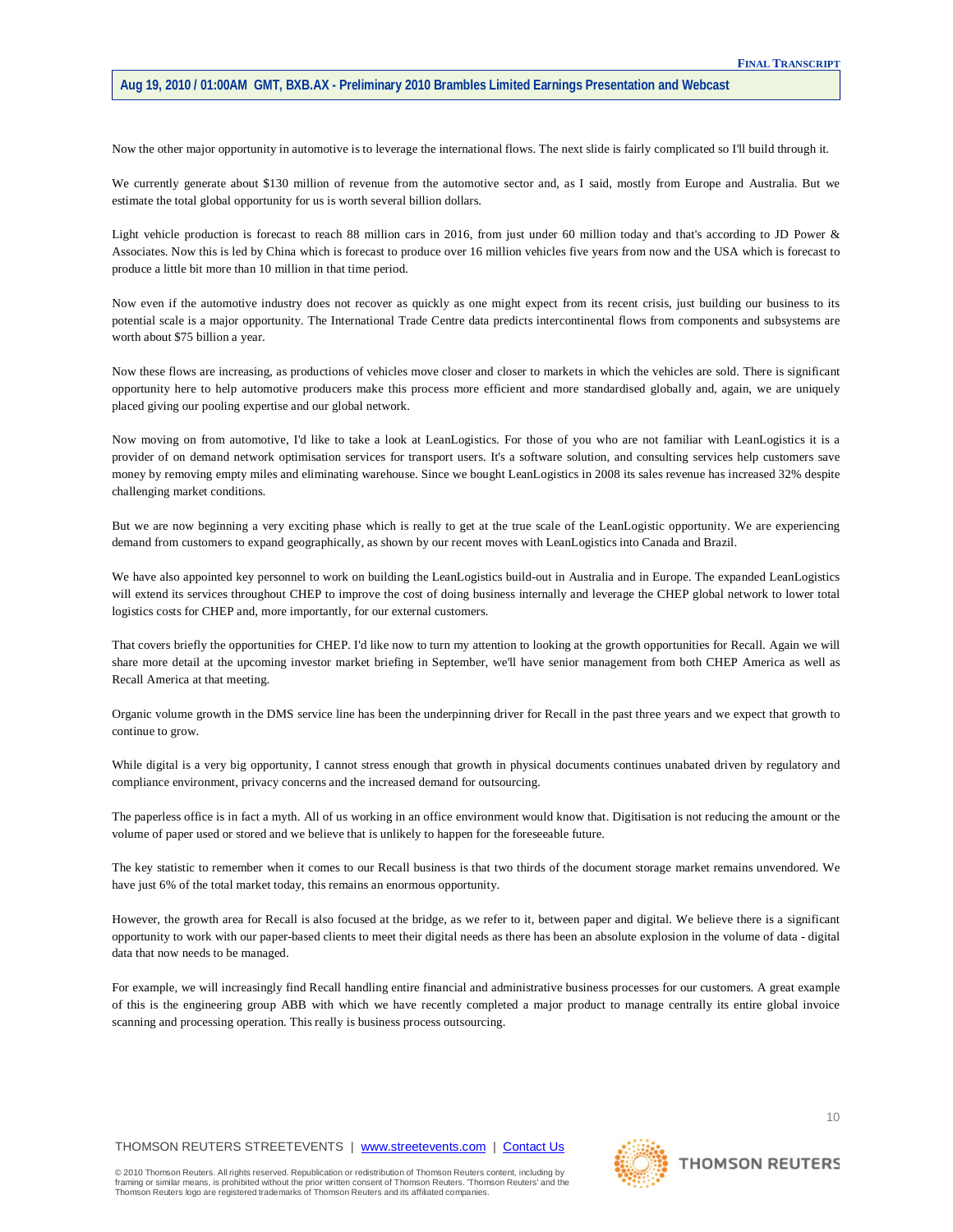Now the other major opportunity in automotive is to leverage the international flows. The next slide is fairly complicated so I'll build through it.

We currently generate about \$130 million of revenue from the automotive sector and, as I said, mostly from Europe and Australia. But we estimate the total global opportunity for us is worth several billion dollars.

Light vehicle production is forecast to reach 88 million cars in 2016, from just under 60 million today and that's according to JD Power & Associates. Now this is led by China which is forecast to produce over 16 million vehicles five years from now and the USA which is forecast to produce a little bit more than 10 million in that time period.

Now even if the automotive industry does not recover as quickly as one might expect from its recent crisis, just building our business to its potential scale is a major opportunity. The International Trade Centre data predicts intercontinental flows from components and subsystems are worth about \$75 billion a year.

Now these flows are increasing, as productions of vehicles move closer and closer to markets in which the vehicles are sold. There is significant opportunity here to help automotive producers make this process more efficient and more standardised globally and, again, we are uniquely placed giving our pooling expertise and our global network.

Now moving on from automotive, I'd like to take a look at LeanLogistics. For those of you who are not familiar with LeanLogistics it is a provider of on demand network optimisation services for transport users. It's a software solution, and consulting services help customers save money by removing empty miles and eliminating warehouse. Since we bought LeanLogistics in 2008 its sales revenue has increased 32% despite challenging market conditions.

But we are now beginning a very exciting phase which is really to get at the true scale of the LeanLogistic opportunity. We are experiencing demand from customers to expand geographically, as shown by our recent moves with LeanLogistics into Canada and Brazil.

We have also appointed key personnel to work on building the LeanLogistics build-out in Australia and in Europe. The expanded LeanLogistics will extend its services throughout CHEP to improve the cost of doing business internally and leverage the CHEP global network to lower total logistics costs for CHEP and, more importantly, for our external customers.

That covers briefly the opportunities for CHEP. I'd like now to turn my attention to looking at the growth opportunities for Recall. Again we will share more detail at the upcoming investor market briefing in September, we'll have senior management from both CHEP America as well as Recall America at that meeting.

Organic volume growth in the DMS service line has been the underpinning driver for Recall in the past three years and we expect that growth to continue to grow.

While digital is a very big opportunity, I cannot stress enough that growth in physical documents continues unabated driven by regulatory and compliance environment, privacy concerns and the increased demand for outsourcing.

The paperless office is in fact a myth. All of us working in an office environment would know that. Digitisation is not reducing the amount or the volume of paper used or stored and we believe that is unlikely to happen for the foreseeable future.

The key statistic to remember when it comes to our Recall business is that two thirds of the document storage market remains unvendored. We have just 6% of the total market today, this remains an enormous opportunity.

However, the growth area for Recall is also focused at the bridge, as we refer to it, between paper and digital. We believe there is a significant opportunity to work with our paper-based clients to meet their digital needs as there has been an absolute explosion in the volume of data - digital data that now needs to be managed.

For example, we will increasingly find Recall handling entire financial and administrative business processes for our customers. A great example of this is the engineering group ABB with which we have recently completed a major product to manage centrally its entire global invoice scanning and processing operation. This really is business process outsourcing.

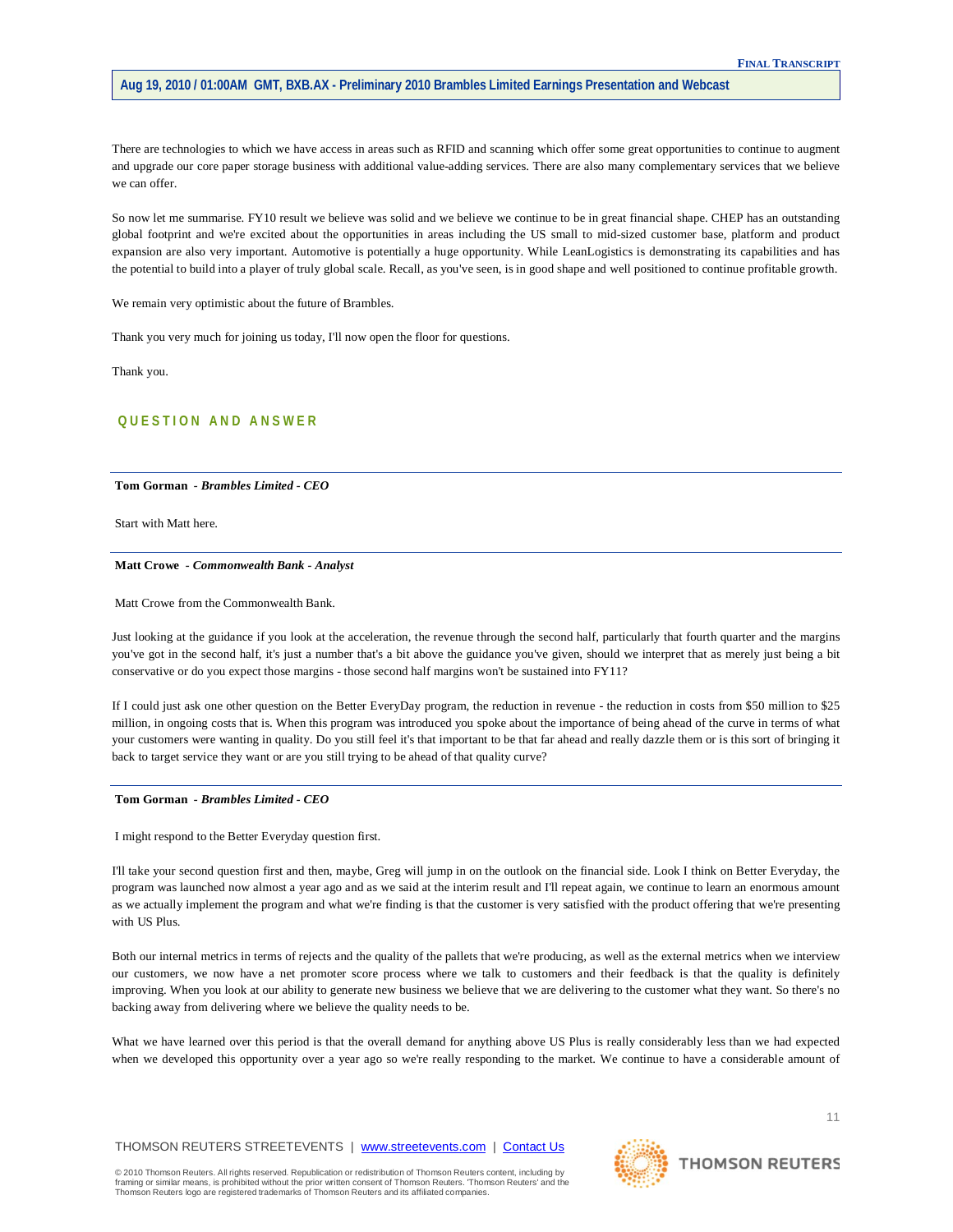There are technologies to which we have access in areas such as RFID and scanning which offer some great opportunities to continue to augment and upgrade our core paper storage business with additional value-adding services. There are also many complementary services that we believe we can offer.

So now let me summarise. FY10 result we believe was solid and we believe we continue to be in great financial shape. CHEP has an outstanding global footprint and we're excited about the opportunities in areas including the US small to mid-sized customer base, platform and product expansion are also very important. Automotive is potentially a huge opportunity. While LeanLogistics is demonstrating its capabilities and has the potential to build into a player of truly global scale. Recall, as you've seen, is in good shape and well positioned to continue profitable growth.

We remain very optimistic about the future of Brambles.

Thank you very much for joining us today, I'll now open the floor for questions.

Thank you.

# **QUESTION AND ANSWER**

## **Tom Gorman** *- Brambles Limited - CEO*

Start with Matt here.

#### **Matt Crowe** *- Commonwealth Bank - Analyst*

Matt Crowe from the Commonwealth Bank.

Just looking at the guidance if you look at the acceleration, the revenue through the second half, particularly that fourth quarter and the margins you've got in the second half, it's just a number that's a bit above the guidance you've given, should we interpret that as merely just being a bit conservative or do you expect those margins - those second half margins won't be sustained into FY11?

If I could just ask one other question on the Better EveryDay program, the reduction in revenue - the reduction in costs from \$50 million to \$25 million, in ongoing costs that is. When this program was introduced you spoke about the importance of being ahead of the curve in terms of what your customers were wanting in quality. Do you still feel it's that important to be that far ahead and really dazzle them or is this sort of bringing it back to target service they want or are you still trying to be ahead of that quality curve?

#### **Tom Gorman** *- Brambles Limited - CEO*

I might respond to the Better Everyday question first.

I'll take your second question first and then, maybe, Greg will jump in on the outlook on the financial side. Look I think on Better Everyday, the program was launched now almost a year ago and as we said at the interim result and I'll repeat again, we continue to learn an enormous amount as we actually implement the program and what we're finding is that the customer is very satisfied with the product offering that we're presenting with US Plus.

Both our internal metrics in terms of rejects and the quality of the pallets that we're producing, as well as the external metrics when we interview our customers, we now have a net promoter score process where we talk to customers and their feedback is that the quality is definitely improving. When you look at our ability to generate new business we believe that we are delivering to the customer what they want. So there's no backing away from delivering where we believe the quality needs to be.

What we have learned over this period is that the overall demand for anything above US Plus is really considerably less than we had expected when we developed this opportunity over a year ago so we're really responding to the market. We continue to have a considerable amount of



**THOMSON REUTERS**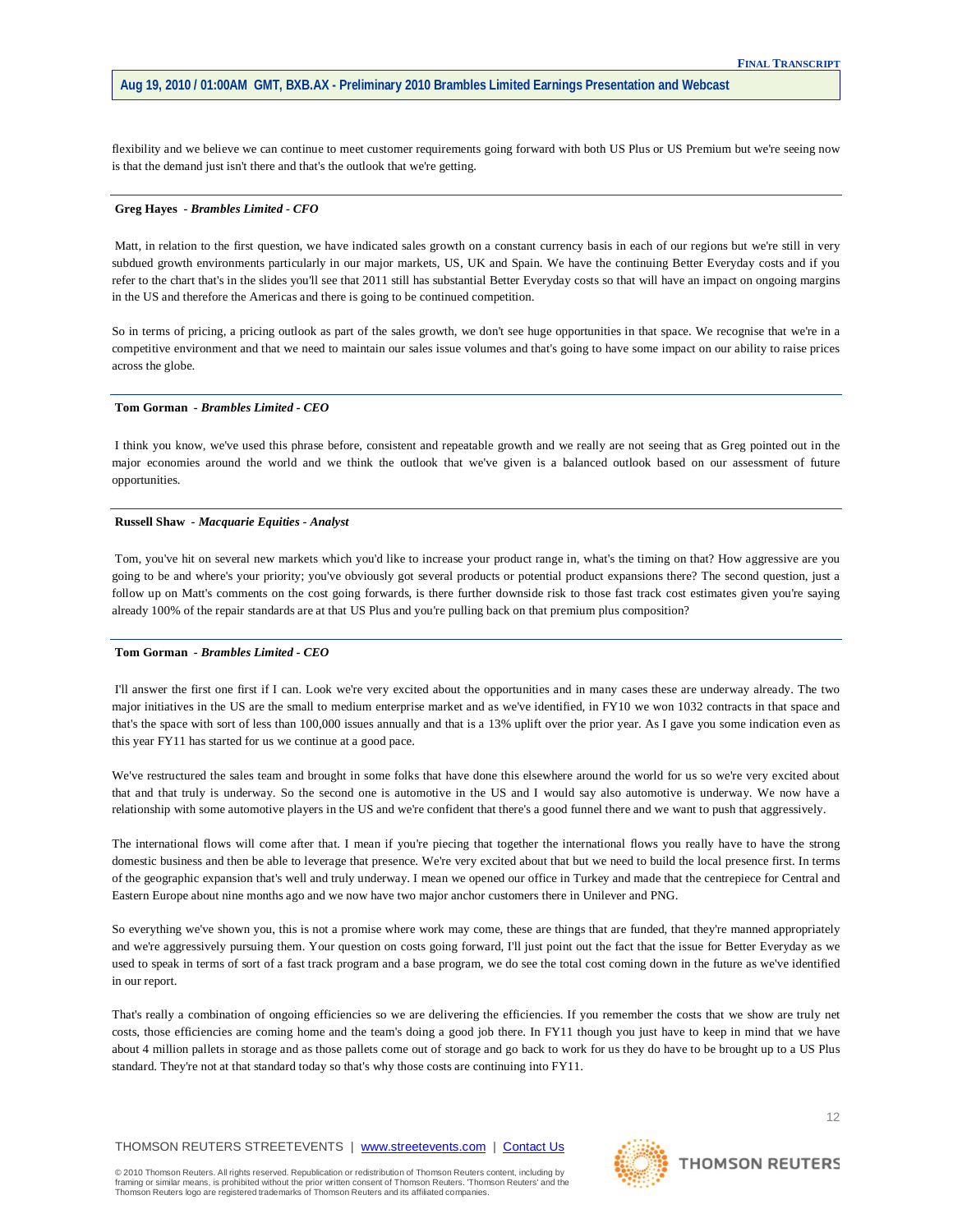flexibility and we believe we can continue to meet customer requirements going forward with both US Plus or US Premium but we're seeing now is that the demand just isn't there and that's the outlook that we're getting.

#### **Greg Hayes** *- Brambles Limited - CFO*

Matt, in relation to the first question, we have indicated sales growth on a constant currency basis in each of our regions but we're still in very subdued growth environments particularly in our major markets, US, UK and Spain. We have the continuing Better Everyday costs and if you refer to the chart that's in the slides you'll see that 2011 still has substantial Better Everyday costs so that will have an impact on ongoing margins in the US and therefore the Americas and there is going to be continued competition.

So in terms of pricing, a pricing outlook as part of the sales growth, we don't see huge opportunities in that space. We recognise that we're in a competitive environment and that we need to maintain our sales issue volumes and that's going to have some impact on our ability to raise prices across the globe.

## **Tom Gorman** *- Brambles Limited - CEO*

I think you know, we've used this phrase before, consistent and repeatable growth and we really are not seeing that as Greg pointed out in the major economies around the world and we think the outlook that we've given is a balanced outlook based on our assessment of future opportunities.

### **Russell Shaw** *- Macquarie Equities - Analyst*

Tom, you've hit on several new markets which you'd like to increase your product range in, what's the timing on that? How aggressive are you going to be and where's your priority; you've obviously got several products or potential product expansions there? The second question, just a follow up on Matt's comments on the cost going forwards, is there further downside risk to those fast track cost estimates given you're saying already 100% of the repair standards are at that US Plus and you're pulling back on that premium plus composition?

## **Tom Gorman** *- Brambles Limited - CEO*

I'll answer the first one first if I can. Look we're very excited about the opportunities and in many cases these are underway already. The two major initiatives in the US are the small to medium enterprise market and as we've identified, in FY10 we won 1032 contracts in that space and that's the space with sort of less than 100,000 issues annually and that is a 13% uplift over the prior year. As I gave you some indication even as this year FY11 has started for us we continue at a good pace.

We've restructured the sales team and brought in some folks that have done this elsewhere around the world for us so we're very excited about that and that truly is underway. So the second one is automotive in the US and I would say also automotive is underway. We now have a relationship with some automotive players in the US and we're confident that there's a good funnel there and we want to push that aggressively.

The international flows will come after that. I mean if you're piecing that together the international flows you really have to have the strong domestic business and then be able to leverage that presence. We're very excited about that but we need to build the local presence first. In terms of the geographic expansion that's well and truly underway. I mean we opened our office in Turkey and made that the centrepiece for Central and Eastern Europe about nine months ago and we now have two major anchor customers there in Unilever and PNG.

So everything we've shown you, this is not a promise where work may come, these are things that are funded, that they're manned appropriately and we're aggressively pursuing them. Your question on costs going forward, I'll just point out the fact that the issue for Better Everyday as we used to speak in terms of sort of a fast track program and a base program, we do see the total cost coming down in the future as we've identified in our report.

That's really a combination of ongoing efficiencies so we are delivering the efficiencies. If you remember the costs that we show are truly net costs, those efficiencies are coming home and the team's doing a good job there. In FY11 though you just have to keep in mind that we have about 4 million pallets in storage and as those pallets come out of storage and go back to work for us they do have to be brought up to a US Plus standard. They're not at that standard today so that's why those costs are continuing into FY11.

## THOMSON REUTERS STREETEVENTS | [www.streetevents.com](http://www.streetevents.com/) | [Contact Us](http://www010.streetevents.com/contact.asp)

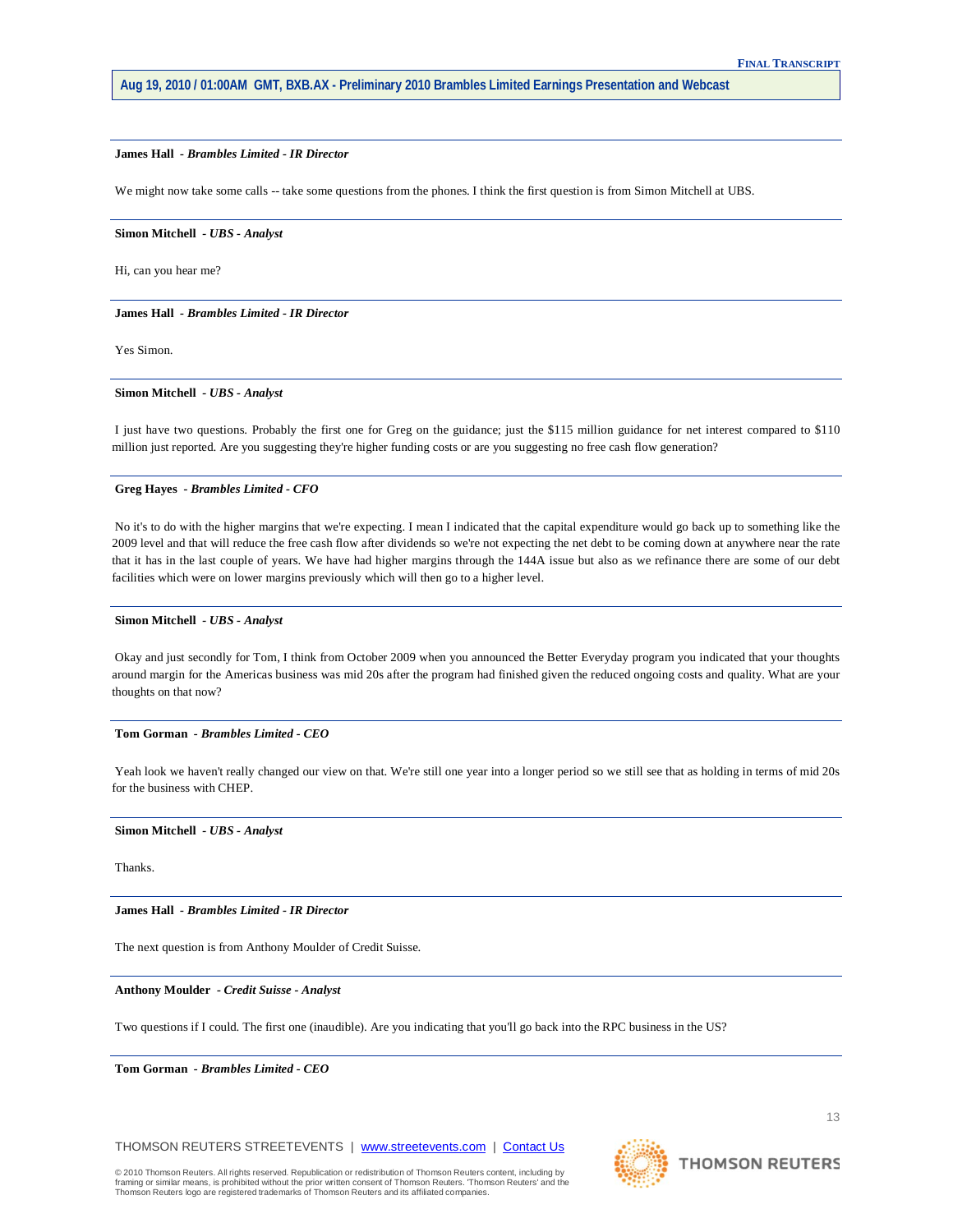## **James Hall** *- Brambles Limited - IR Director*

We might now take some calls -- take some questions from the phones. I think the first question is from Simon Mitchell at UBS.

#### **Simon Mitchell** *- UBS - Analyst*

Hi, can you hear me?

**James Hall** *- Brambles Limited - IR Director* 

Yes Simon.

## **Simon Mitchell** *- UBS - Analyst*

I just have two questions. Probably the first one for Greg on the guidance; just the \$115 million guidance for net interest compared to \$110 million just reported. Are you suggesting they're higher funding costs or are you suggesting no free cash flow generation?

## **Greg Hayes** *- Brambles Limited - CFO*

No it's to do with the higher margins that we're expecting. I mean I indicated that the capital expenditure would go back up to something like the 2009 level and that will reduce the free cash flow after dividends so we're not expecting the net debt to be coming down at anywhere near the rate that it has in the last couple of years. We have had higher margins through the 144A issue but also as we refinance there are some of our debt facilities which were on lower margins previously which will then go to a higher level.

#### **Simon Mitchell** *- UBS - Analyst*

Okay and just secondly for Tom, I think from October 2009 when you announced the Better Everyday program you indicated that your thoughts around margin for the Americas business was mid 20s after the program had finished given the reduced ongoing costs and quality. What are your thoughts on that now?

## **Tom Gorman** *- Brambles Limited - CEO*

Yeah look we haven't really changed our view on that. We're still one year into a longer period so we still see that as holding in terms of mid 20s for the business with CHEP.

## **Simon Mitchell** *- UBS - Analyst*

Thanks.

**James Hall** *- Brambles Limited - IR Director* 

The next question is from Anthony Moulder of Credit Suisse.

## **Anthony Moulder** *- Credit Suisse - Analyst*

Two questions if I could. The first one (inaudible). Are you indicating that you'll go back into the RPC business in the US?

**Tom Gorman** *- Brambles Limited - CEO* 

THOMSON REUTERS STREETEVENTS | [www.streetevents.com](http://www.streetevents.com/) | [Contact Us](http://www010.streetevents.com/contact.asp)



**THOMSON REUTERS**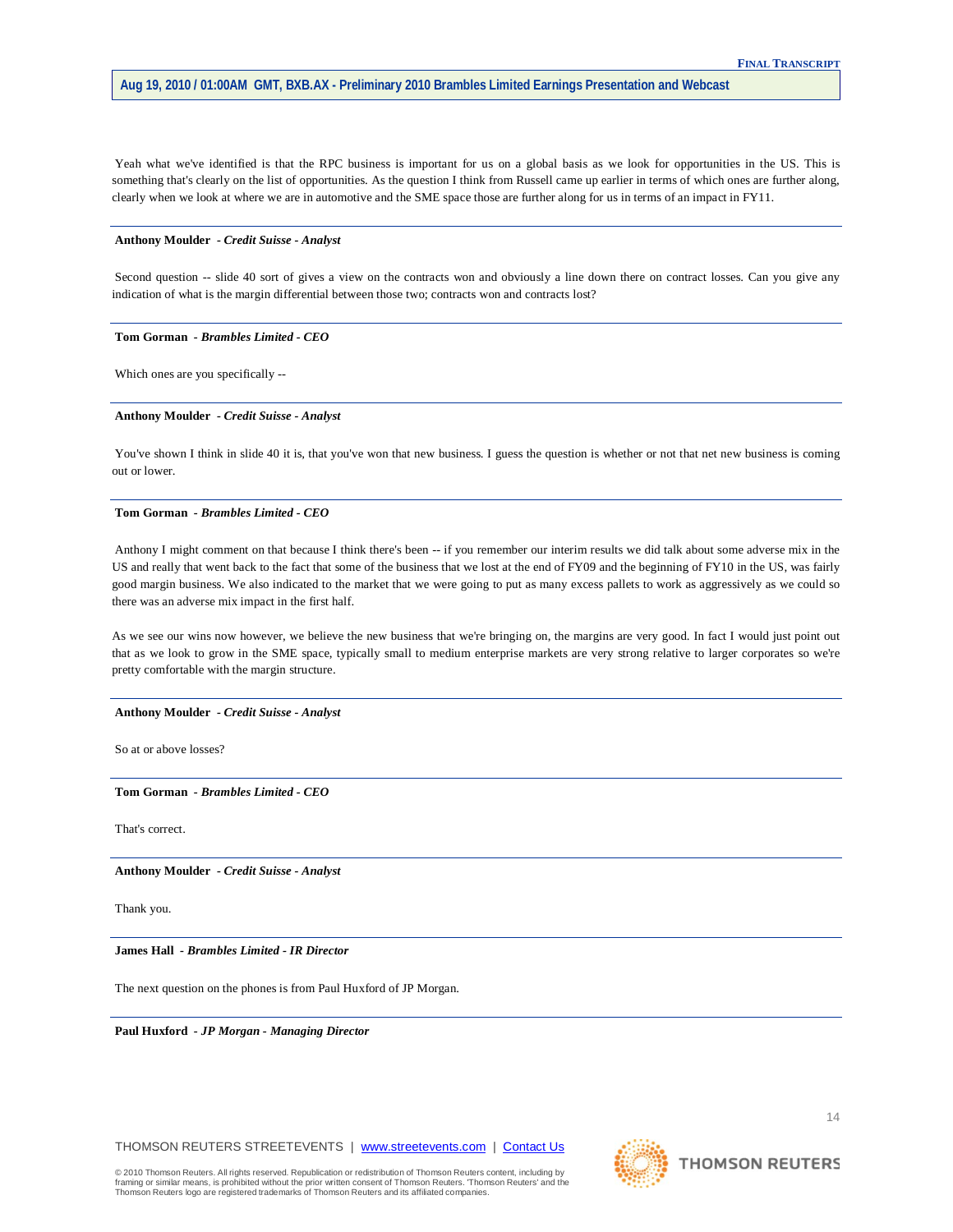Yeah what we've identified is that the RPC business is important for us on a global basis as we look for opportunities in the US. This is something that's clearly on the list of opportunities. As the question I think from Russell came up earlier in terms of which ones are further along, clearly when we look at where we are in automotive and the SME space those are further along for us in terms of an impact in FY11.

### **Anthony Moulder** *- Credit Suisse - Analyst*

Second question -- slide 40 sort of gives a view on the contracts won and obviously a line down there on contract losses. Can you give any indication of what is the margin differential between those two; contracts won and contracts lost?

#### **Tom Gorman** *- Brambles Limited - CEO*

Which ones are you specifically --

## **Anthony Moulder** *- Credit Suisse - Analyst*

You've shown I think in slide 40 it is, that you've won that new business. I guess the question is whether or not that net new business is coming out or lower.

#### **Tom Gorman** *- Brambles Limited - CEO*

Anthony I might comment on that because I think there's been -- if you remember our interim results we did talk about some adverse mix in the US and really that went back to the fact that some of the business that we lost at the end of FY09 and the beginning of FY10 in the US, was fairly good margin business. We also indicated to the market that we were going to put as many excess pallets to work as aggressively as we could so there was an adverse mix impact in the first half.

As we see our wins now however, we believe the new business that we're bringing on, the margins are very good. In fact I would just point out that as we look to grow in the SME space, typically small to medium enterprise markets are very strong relative to larger corporates so we're pretty comfortable with the margin structure.

#### **Anthony Moulder** *- Credit Suisse - Analyst*

So at or above losses?

**Tom Gorman** *- Brambles Limited - CEO* 

That's correct.

**Anthony Moulder** *- Credit Suisse - Analyst* 

Thank you.

**James Hall** *- Brambles Limited - IR Director* 

The next question on the phones is from Paul Huxford of JP Morgan.

**Paul Huxford** *- JP Morgan - Managing Director* 

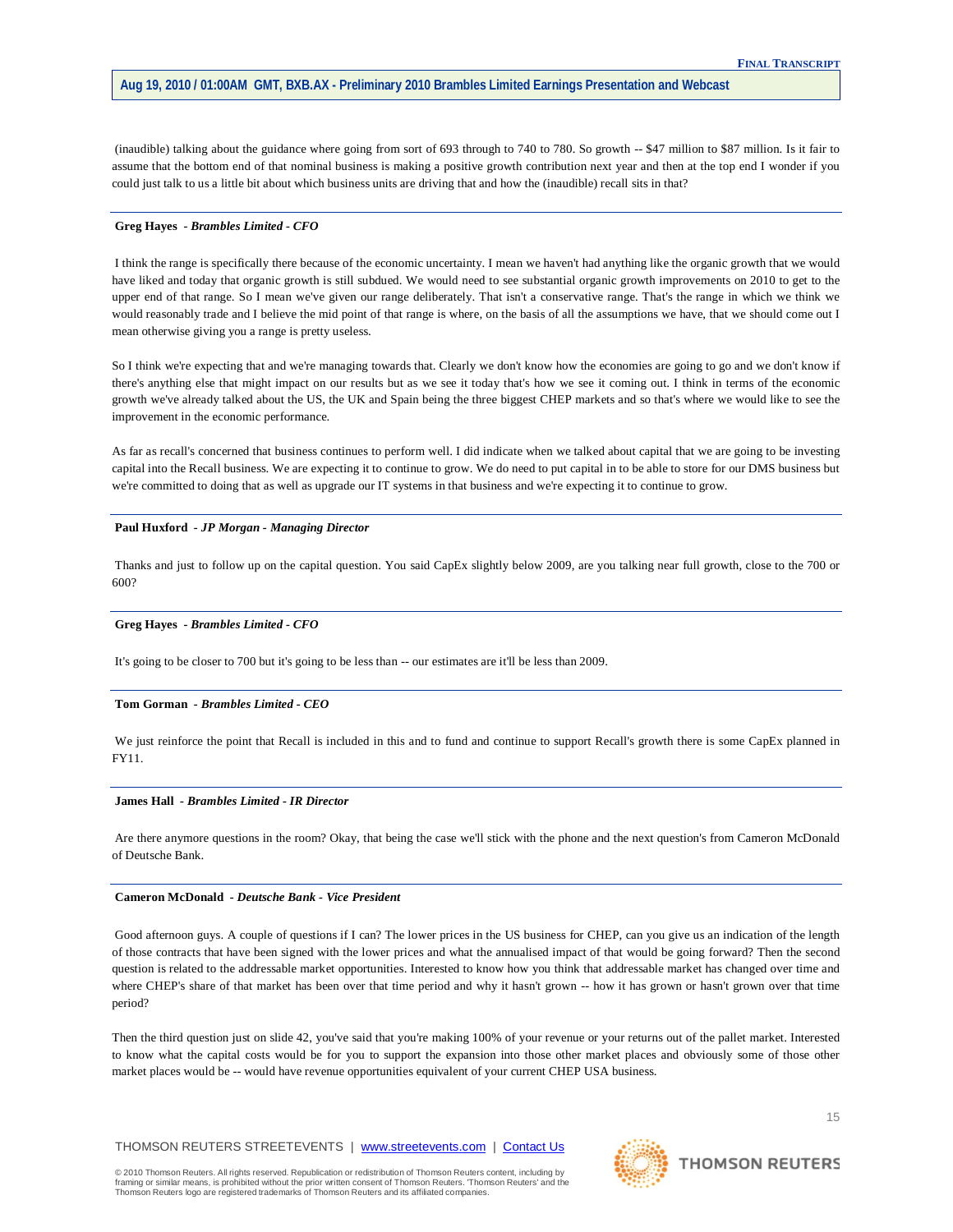(inaudible) talking about the guidance where going from sort of 693 through to 740 to 780. So growth -- \$47 million to \$87 million. Is it fair to assume that the bottom end of that nominal business is making a positive growth contribution next year and then at the top end I wonder if you could just talk to us a little bit about which business units are driving that and how the (inaudible) recall sits in that?

#### **Greg Hayes** *- Brambles Limited - CFO*

I think the range is specifically there because of the economic uncertainty. I mean we haven't had anything like the organic growth that we would have liked and today that organic growth is still subdued. We would need to see substantial organic growth improvements on 2010 to get to the upper end of that range. So I mean we've given our range deliberately. That isn't a conservative range. That's the range in which we think we would reasonably trade and I believe the mid point of that range is where, on the basis of all the assumptions we have, that we should come out I mean otherwise giving you a range is pretty useless.

So I think we're expecting that and we're managing towards that. Clearly we don't know how the economies are going to go and we don't know if there's anything else that might impact on our results but as we see it today that's how we see it coming out. I think in terms of the economic growth we've already talked about the US, the UK and Spain being the three biggest CHEP markets and so that's where we would like to see the improvement in the economic performance.

As far as recall's concerned that business continues to perform well. I did indicate when we talked about capital that we are going to be investing capital into the Recall business. We are expecting it to continue to grow. We do need to put capital in to be able to store for our DMS business but we're committed to doing that as well as upgrade our IT systems in that business and we're expecting it to continue to grow.

#### **Paul Huxford** *- JP Morgan - Managing Director*

Thanks and just to follow up on the capital question. You said CapEx slightly below 2009, are you talking near full growth, close to the 700 or 600?

## **Greg Hayes** *- Brambles Limited - CFO*

It's going to be closer to 700 but it's going to be less than -- our estimates are it'll be less than 2009.

#### **Tom Gorman** *- Brambles Limited - CEO*

We just reinforce the point that Recall is included in this and to fund and continue to support Recall's growth there is some CapEx planned in FY11.

#### **James Hall** *- Brambles Limited - IR Director*

Are there anymore questions in the room? Okay, that being the case we'll stick with the phone and the next question's from Cameron McDonald of Deutsche Bank.

#### **Cameron McDonald** *- Deutsche Bank - Vice President*

Good afternoon guys. A couple of questions if I can? The lower prices in the US business for CHEP, can you give us an indication of the length of those contracts that have been signed with the lower prices and what the annualised impact of that would be going forward? Then the second question is related to the addressable market opportunities. Interested to know how you think that addressable market has changed over time and where CHEP's share of that market has been over that time period and why it hasn't grown -- how it has grown or hasn't grown over that time period?

Then the third question just on slide 42, you've said that you're making 100% of your revenue or your returns out of the pallet market. Interested to know what the capital costs would be for you to support the expansion into those other market places and obviously some of those other market places would be -- would have revenue opportunities equivalent of your current CHEP USA business.

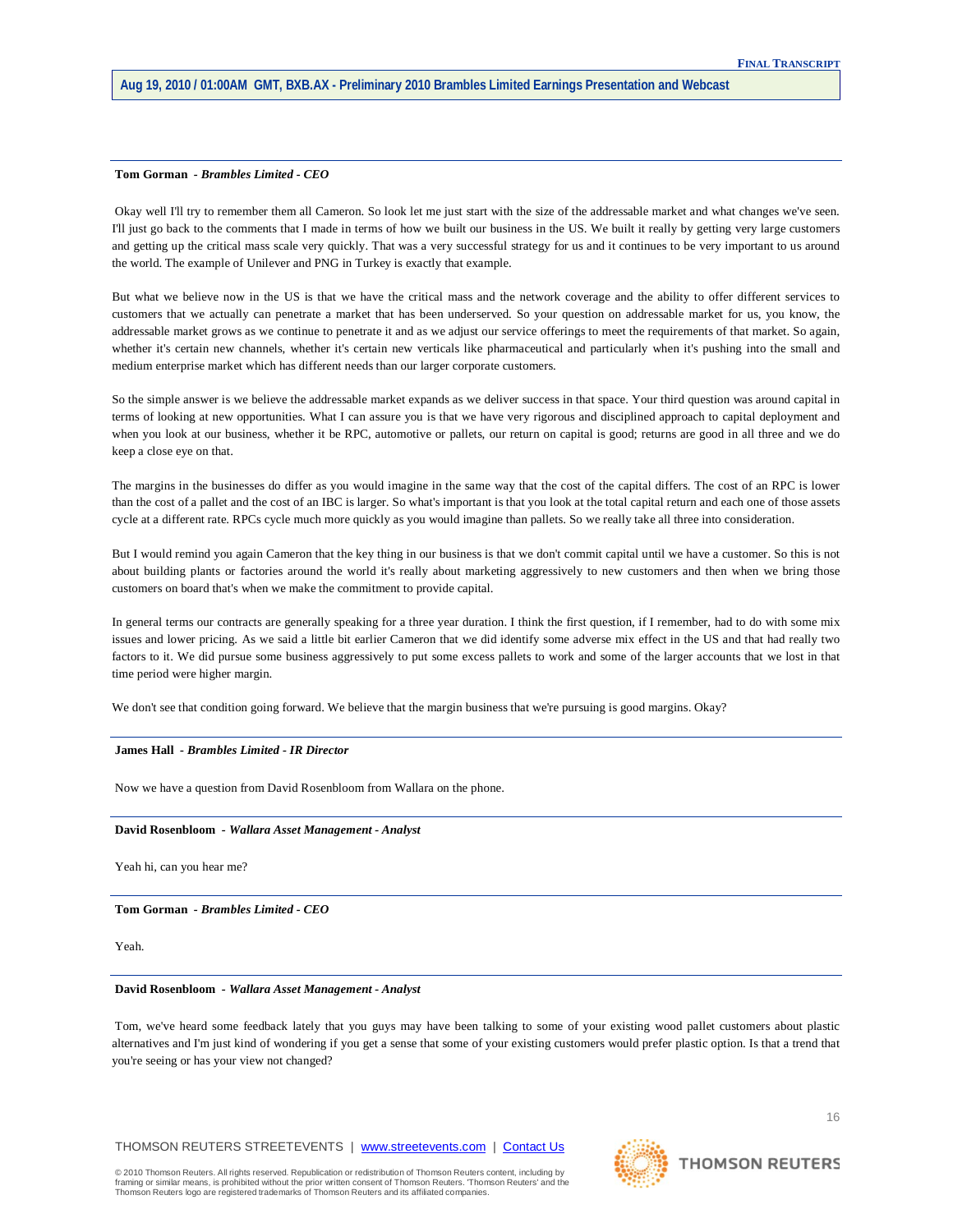#### **Tom Gorman** *- Brambles Limited - CEO*

Okay well I'll try to remember them all Cameron. So look let me just start with the size of the addressable market and what changes we've seen. I'll just go back to the comments that I made in terms of how we built our business in the US. We built it really by getting very large customers and getting up the critical mass scale very quickly. That was a very successful strategy for us and it continues to be very important to us around the world. The example of Unilever and PNG in Turkey is exactly that example.

But what we believe now in the US is that we have the critical mass and the network coverage and the ability to offer different services to customers that we actually can penetrate a market that has been underserved. So your question on addressable market for us, you know, the addressable market grows as we continue to penetrate it and as we adjust our service offerings to meet the requirements of that market. So again, whether it's certain new channels, whether it's certain new verticals like pharmaceutical and particularly when it's pushing into the small and medium enterprise market which has different needs than our larger corporate customers.

So the simple answer is we believe the addressable market expands as we deliver success in that space. Your third question was around capital in terms of looking at new opportunities. What I can assure you is that we have very rigorous and disciplined approach to capital deployment and when you look at our business, whether it be RPC, automotive or pallets, our return on capital is good; returns are good in all three and we do keep a close eye on that.

The margins in the businesses do differ as you would imagine in the same way that the cost of the capital differs. The cost of an RPC is lower than the cost of a pallet and the cost of an IBC is larger. So what's important is that you look at the total capital return and each one of those assets cycle at a different rate. RPCs cycle much more quickly as you would imagine than pallets. So we really take all three into consideration.

But I would remind you again Cameron that the key thing in our business is that we don't commit capital until we have a customer. So this is not about building plants or factories around the world it's really about marketing aggressively to new customers and then when we bring those customers on board that's when we make the commitment to provide capital.

In general terms our contracts are generally speaking for a three year duration. I think the first question, if I remember, had to do with some mix issues and lower pricing. As we said a little bit earlier Cameron that we did identify some adverse mix effect in the US and that had really two factors to it. We did pursue some business aggressively to put some excess pallets to work and some of the larger accounts that we lost in that time period were higher margin.

We don't see that condition going forward. We believe that the margin business that we're pursuing is good margins. Okay?

## **James Hall** *- Brambles Limited - IR Director*

Now we have a question from David Rosenbloom from Wallara on the phone.

#### **David Rosenbloom** *- Wallara Asset Management - Analyst*

Yeah hi, can you hear me?

**Tom Gorman** *- Brambles Limited - CEO* 

Yeah.

#### **David Rosenbloom** *- Wallara Asset Management - Analyst*

Tom, we've heard some feedback lately that you guys may have been talking to some of your existing wood pallet customers about plastic alternatives and I'm just kind of wondering if you get a sense that some of your existing customers would prefer plastic option. Is that a trend that you're seeing or has your view not changed?

THOMSON REUTERS STREETEVENTS | [www.streetevents.com](http://www.streetevents.com/) | [Contact Us](http://www010.streetevents.com/contact.asp)

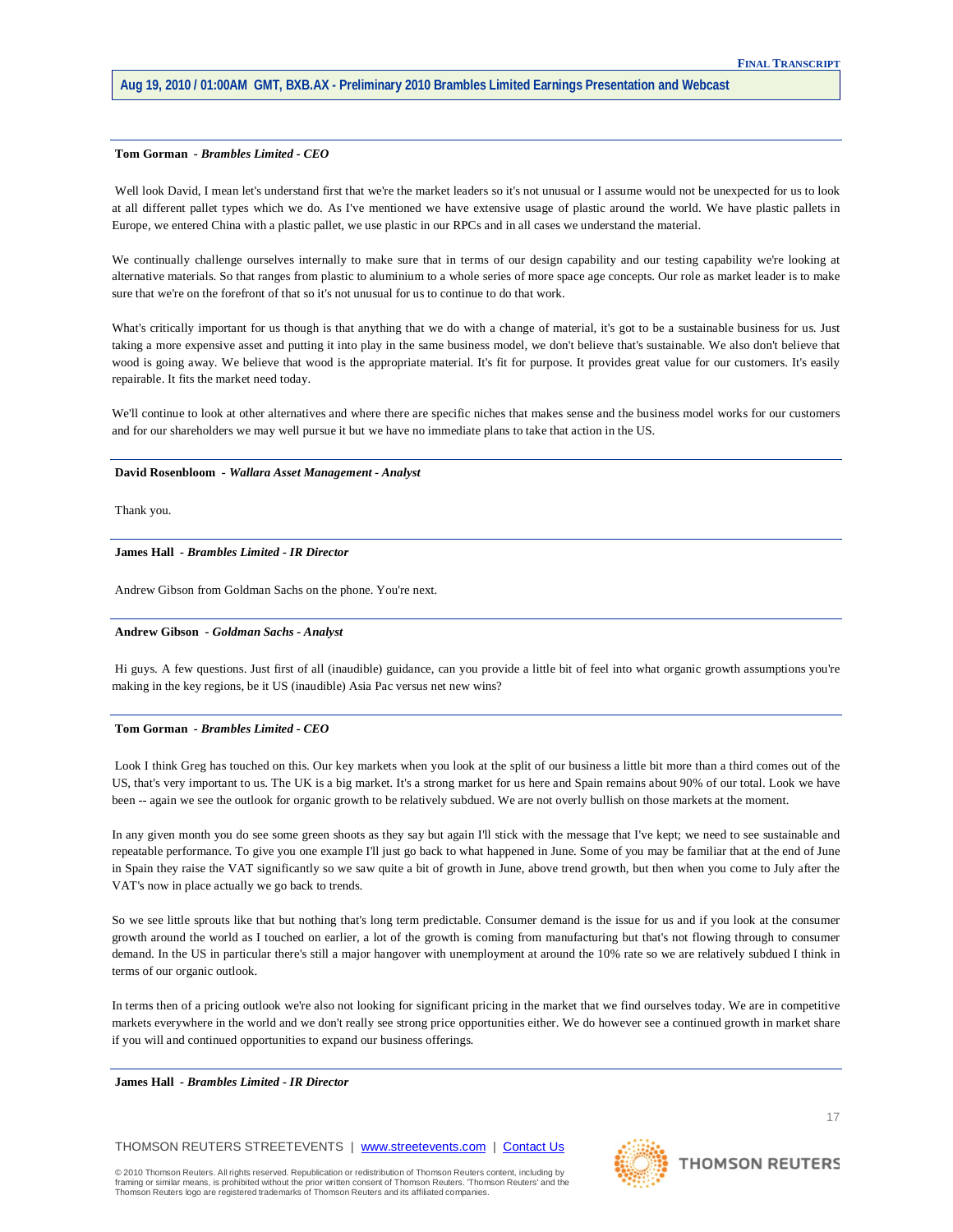## **Tom Gorman** *- Brambles Limited - CEO*

Well look David, I mean let's understand first that we're the market leaders so it's not unusual or I assume would not be unexpected for us to look at all different pallet types which we do. As I've mentioned we have extensive usage of plastic around the world. We have plastic pallets in Europe, we entered China with a plastic pallet, we use plastic in our RPCs and in all cases we understand the material.

We continually challenge ourselves internally to make sure that in terms of our design capability and our testing capability we're looking at alternative materials. So that ranges from plastic to aluminium to a whole series of more space age concepts. Our role as market leader is to make sure that we're on the forefront of that so it's not unusual for us to continue to do that work.

What's critically important for us though is that anything that we do with a change of material, it's got to be a sustainable business for us. Just taking a more expensive asset and putting it into play in the same business model, we don't believe that's sustainable. We also don't believe that wood is going away. We believe that wood is the appropriate material. It's fit for purpose. It provides great value for our customers. It's easily repairable. It fits the market need today.

We'll continue to look at other alternatives and where there are specific niches that makes sense and the business model works for our customers and for our shareholders we may well pursue it but we have no immediate plans to take that action in the US.

## **David Rosenbloom** *- Wallara Asset Management - Analyst*

Thank you.

#### **James Hall** *- Brambles Limited - IR Director*

Andrew Gibson from Goldman Sachs on the phone. You're next.

## **Andrew Gibson** *- Goldman Sachs - Analyst*

Hi guys. A few questions. Just first of all (inaudible) guidance, can you provide a little bit of feel into what organic growth assumptions you're making in the key regions, be it US (inaudible) Asia Pac versus net new wins?

## **Tom Gorman** *- Brambles Limited - CEO*

Look I think Greg has touched on this. Our key markets when you look at the split of our business a little bit more than a third comes out of the US, that's very important to us. The UK is a big market. It's a strong market for us here and Spain remains about 90% of our total. Look we have been -- again we see the outlook for organic growth to be relatively subdued. We are not overly bullish on those markets at the moment.

In any given month you do see some green shoots as they say but again I'll stick with the message that I've kept; we need to see sustainable and repeatable performance. To give you one example I'll just go back to what happened in June. Some of you may be familiar that at the end of June in Spain they raise the VAT significantly so we saw quite a bit of growth in June, above trend growth, but then when you come to July after the VAT's now in place actually we go back to trends.

So we see little sprouts like that but nothing that's long term predictable. Consumer demand is the issue for us and if you look at the consumer growth around the world as I touched on earlier, a lot of the growth is coming from manufacturing but that's not flowing through to consumer demand. In the US in particular there's still a major hangover with unemployment at around the 10% rate so we are relatively subdued I think in terms of our organic outlook.

In terms then of a pricing outlook we're also not looking for significant pricing in the market that we find ourselves today. We are in competitive markets everywhere in the world and we don't really see strong price opportunities either. We do however see a continued growth in market share if you will and continued opportunities to expand our business offerings.

**James Hall** *- Brambles Limited - IR Director* 

THOMSON REUTERS STREETEVENTS | [www.streetevents.com](http://www.streetevents.com/) | [Contact Us](http://www010.streetevents.com/contact.asp)

© 2010 Thomson Reuters. All rights reserved. Republication or redistribution of Thomson Reuters content, including by<br>framing or similar means, is prohibited without the prior written consent of Thomson Reuters. 'Thomson R Thomson Reuters logo are registered trademarks of Thomson Reuters and its affiliated companies.



**THOMSON REUTERS** 

17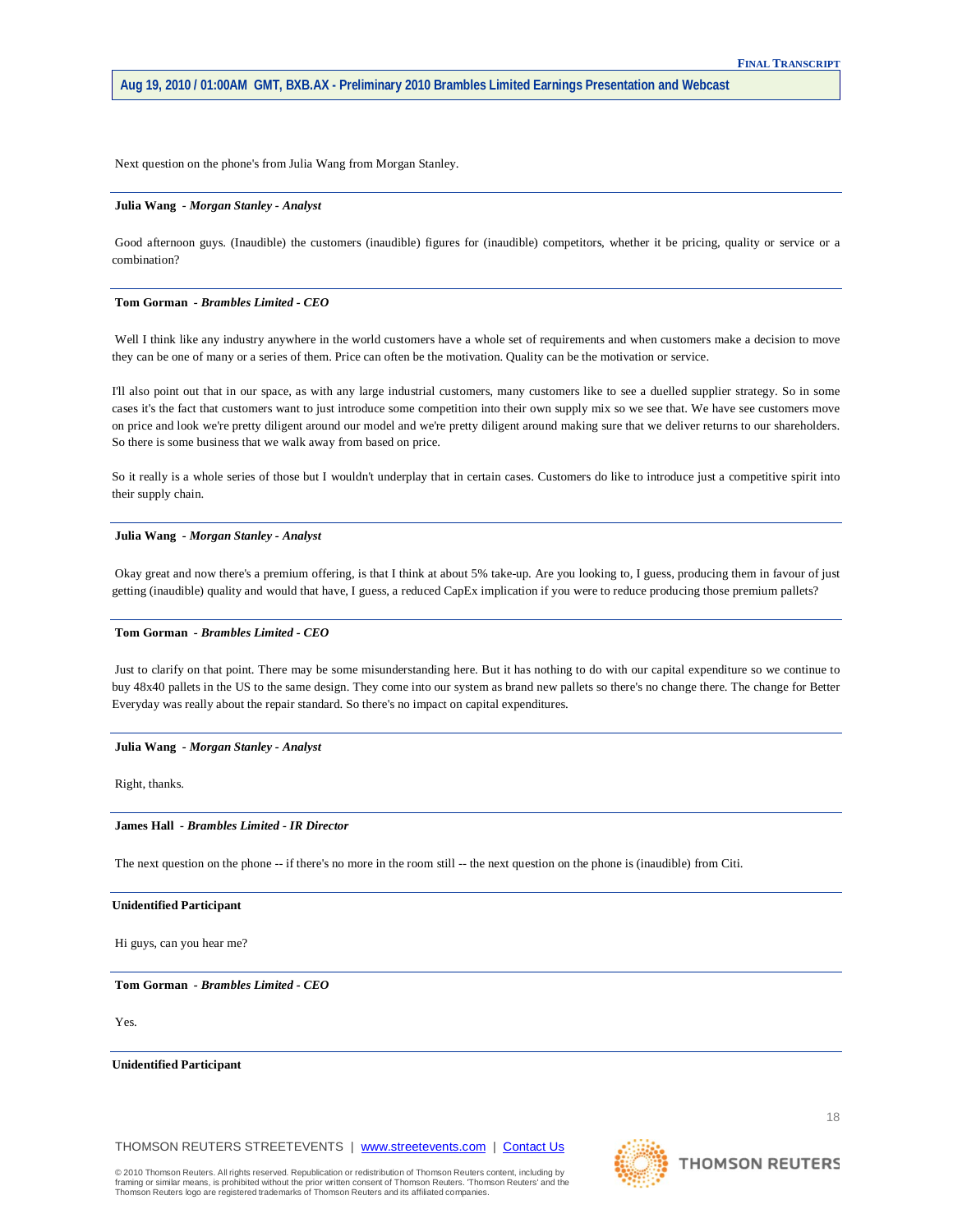Next question on the phone's from Julia Wang from Morgan Stanley.

### **Julia Wang** *- Morgan Stanley - Analyst*

Good afternoon guys. (Inaudible) the customers (inaudible) figures for (inaudible) competitors, whether it be pricing, quality or service or a combination?

#### **Tom Gorman** *- Brambles Limited - CEO*

Well I think like any industry anywhere in the world customers have a whole set of requirements and when customers make a decision to move they can be one of many or a series of them. Price can often be the motivation. Quality can be the motivation or service.

I'll also point out that in our space, as with any large industrial customers, many customers like to see a duelled supplier strategy. So in some cases it's the fact that customers want to just introduce some competition into their own supply mix so we see that. We have see customers move on price and look we're pretty diligent around our model and we're pretty diligent around making sure that we deliver returns to our shareholders. So there is some business that we walk away from based on price.

So it really is a whole series of those but I wouldn't underplay that in certain cases. Customers do like to introduce just a competitive spirit into their supply chain.

#### **Julia Wang** *- Morgan Stanley - Analyst*

Okay great and now there's a premium offering, is that I think at about 5% take-up. Are you looking to, I guess, producing them in favour of just getting (inaudible) quality and would that have, I guess, a reduced CapEx implication if you were to reduce producing those premium pallets?

## **Tom Gorman** *- Brambles Limited - CEO*

Just to clarify on that point. There may be some misunderstanding here. But it has nothing to do with our capital expenditure so we continue to buy 48x40 pallets in the US to the same design. They come into our system as brand new pallets so there's no change there. The change for Better Everyday was really about the repair standard. So there's no impact on capital expenditures.

#### **Julia Wang** *- Morgan Stanley - Analyst*

Right, thanks.

## **James Hall** *- Brambles Limited - IR Director*

The next question on the phone -- if there's no more in the room still -- the next question on the phone is (inaudible) from Citi.

### **Unidentified Participant**

Hi guys, can you hear me?

**Tom Gorman** *- Brambles Limited - CEO* 

Yes.

**Unidentified Participant**

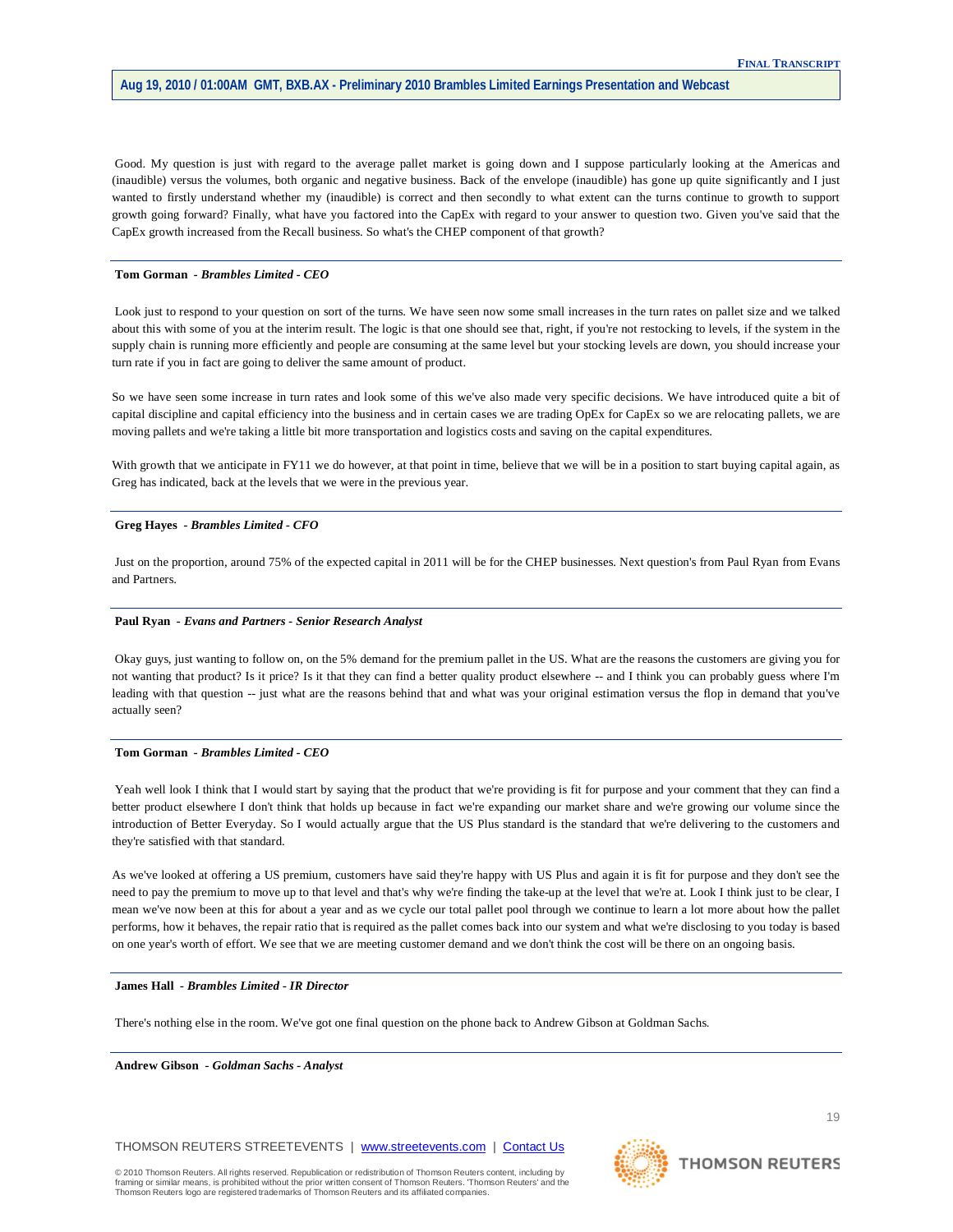Good. My question is just with regard to the average pallet market is going down and I suppose particularly looking at the Americas and (inaudible) versus the volumes, both organic and negative business. Back of the envelope (inaudible) has gone up quite significantly and I just wanted to firstly understand whether my (inaudible) is correct and then secondly to what extent can the turns continue to growth to support growth going forward? Finally, what have you factored into the CapEx with regard to your answer to question two. Given you've said that the CapEx growth increased from the Recall business. So what's the CHEP component of that growth?

## **Tom Gorman** *- Brambles Limited - CEO*

Look just to respond to your question on sort of the turns. We have seen now some small increases in the turn rates on pallet size and we talked about this with some of you at the interim result. The logic is that one should see that, right, if you're not restocking to levels, if the system in the supply chain is running more efficiently and people are consuming at the same level but your stocking levels are down, you should increase your turn rate if you in fact are going to deliver the same amount of product.

So we have seen some increase in turn rates and look some of this we've also made very specific decisions. We have introduced quite a bit of capital discipline and capital efficiency into the business and in certain cases we are trading OpEx for CapEx so we are relocating pallets, we are moving pallets and we're taking a little bit more transportation and logistics costs and saving on the capital expenditures.

With growth that we anticipate in FY11 we do however, at that point in time, believe that we will be in a position to start buying capital again, as Greg has indicated, back at the levels that we were in the previous year.

#### **Greg Hayes** *- Brambles Limited - CFO*

Just on the proportion, around 75% of the expected capital in 2011 will be for the CHEP businesses. Next question's from Paul Ryan from Evans and Partners.

#### **Paul Ryan** *- Evans and Partners - Senior Research Analyst*

Okay guys, just wanting to follow on, on the 5% demand for the premium pallet in the US. What are the reasons the customers are giving you for not wanting that product? Is it price? Is it that they can find a better quality product elsewhere -- and I think you can probably guess where I'm leading with that question -- just what are the reasons behind that and what was your original estimation versus the flop in demand that you've actually seen?

## **Tom Gorman** *- Brambles Limited - CEO*

Yeah well look I think that I would start by saying that the product that we're providing is fit for purpose and your comment that they can find a better product elsewhere I don't think that holds up because in fact we're expanding our market share and we're growing our volume since the introduction of Better Everyday. So I would actually argue that the US Plus standard is the standard that we're delivering to the customers and they're satisfied with that standard.

As we've looked at offering a US premium, customers have said they're happy with US Plus and again it is fit for purpose and they don't see the need to pay the premium to move up to that level and that's why we're finding the take-up at the level that we're at. Look I think just to be clear, I mean we've now been at this for about a year and as we cycle our total pallet pool through we continue to learn a lot more about how the pallet performs, how it behaves, the repair ratio that is required as the pallet comes back into our system and what we're disclosing to you today is based on one year's worth of effort. We see that we are meeting customer demand and we don't think the cost will be there on an ongoing basis.

## **James Hall** *- Brambles Limited - IR Director*

There's nothing else in the room. We've got one final question on the phone back to Andrew Gibson at Goldman Sachs.

**Andrew Gibson** *- Goldman Sachs - Analyst* 

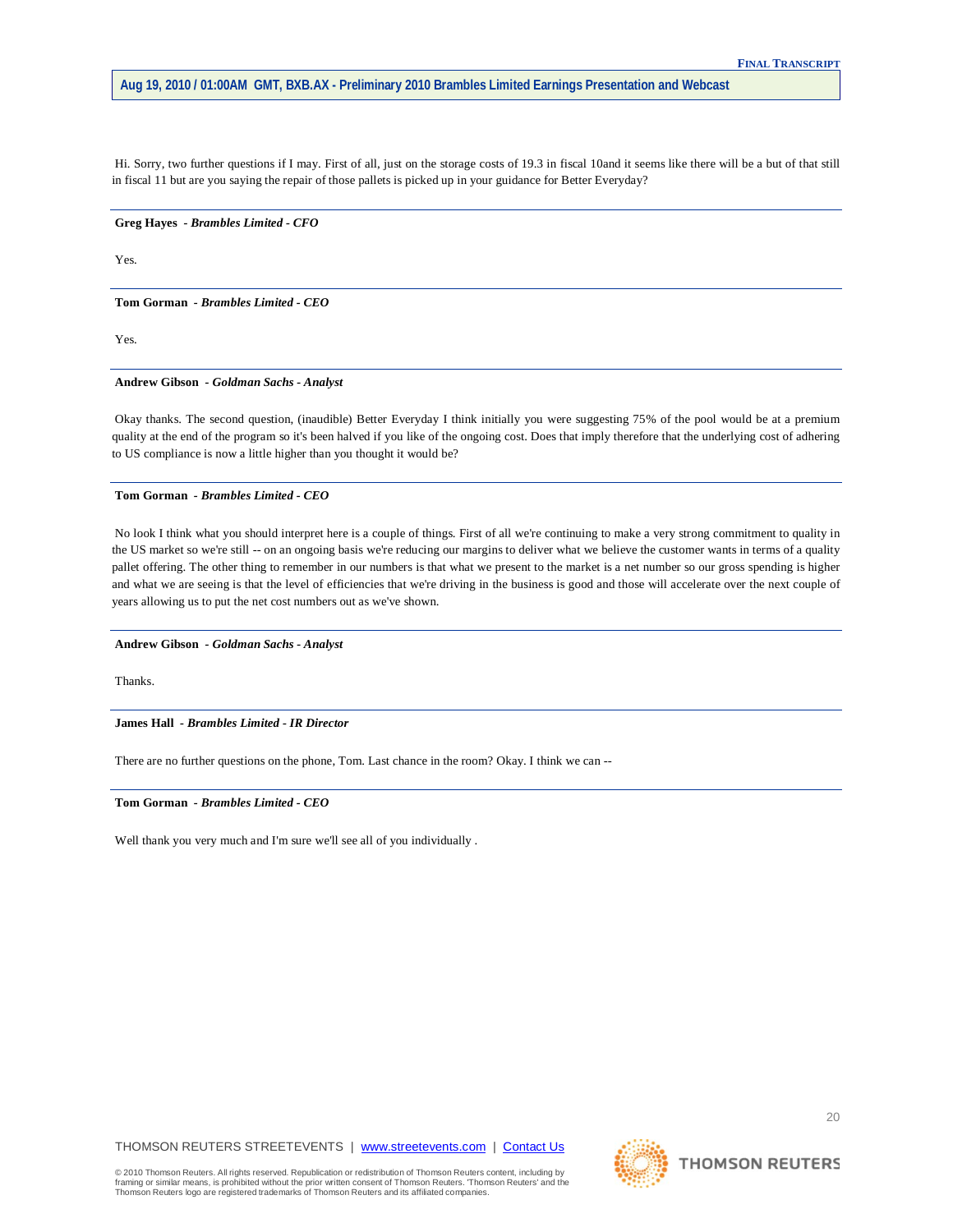Hi. Sorry, two further questions if I may. First of all, just on the storage costs of 19.3 in fiscal 10and it seems like there will be a but of that still in fiscal 11 but are you saying the repair of those pallets is picked up in your guidance for Better Everyday?

**Greg Hayes** *- Brambles Limited - CFO* 

Yes.

**Tom Gorman** *- Brambles Limited - CEO* 

Yes.

## **Andrew Gibson** *- Goldman Sachs - Analyst*

Okay thanks. The second question, (inaudible) Better Everyday I think initially you were suggesting 75% of the pool would be at a premium quality at the end of the program so it's been halved if you like of the ongoing cost. Does that imply therefore that the underlying cost of adhering to US compliance is now a little higher than you thought it would be?

#### **Tom Gorman** *- Brambles Limited - CEO*

No look I think what you should interpret here is a couple of things. First of all we're continuing to make a very strong commitment to quality in the US market so we're still -- on an ongoing basis we're reducing our margins to deliver what we believe the customer wants in terms of a quality pallet offering. The other thing to remember in our numbers is that what we present to the market is a net number so our gross spending is higher and what we are seeing is that the level of efficiencies that we're driving in the business is good and those will accelerate over the next couple of years allowing us to put the net cost numbers out as we've shown.

**Andrew Gibson** *- Goldman Sachs - Analyst* 

Thanks.

**James Hall** *- Brambles Limited - IR Director* 

There are no further questions on the phone, Tom. Last chance in the room? Okay. I think we can --

**Tom Gorman** *- Brambles Limited - CEO* 

Well thank you very much and I'm sure we'll see all of you individually .